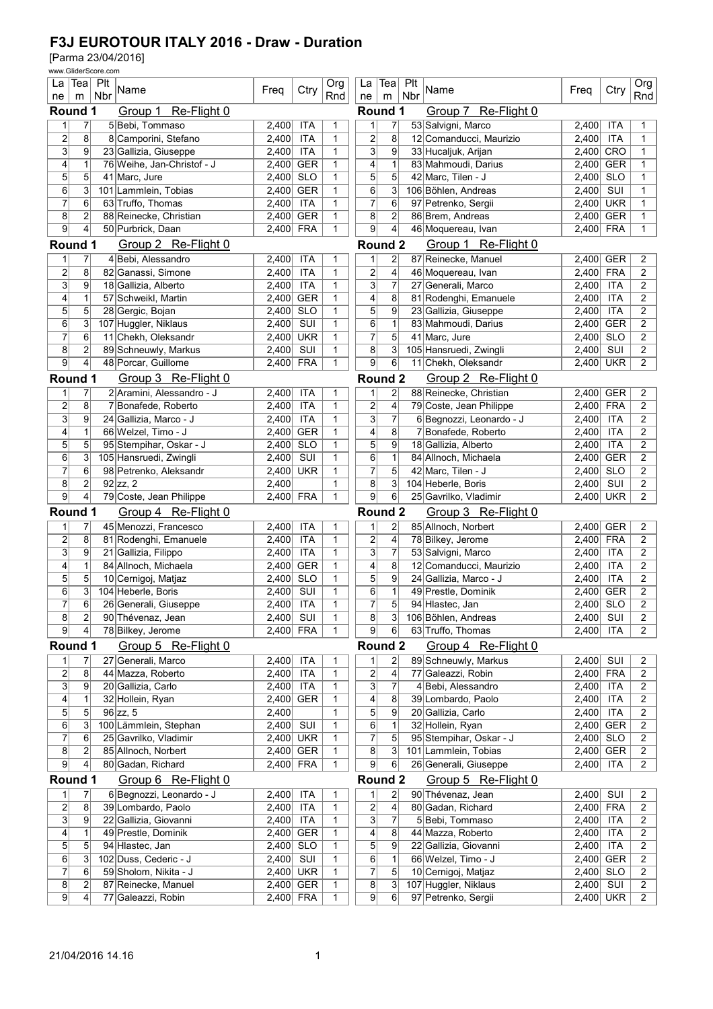| Tea  Plt<br>La<br>La<br>Tea<br>Name<br>Ctry<br>Ctry<br>Freq<br>Name<br>Freq<br>Rnd<br>Nbr<br>Rnd<br>Nbr<br>ne<br>ne<br>m<br>m<br><b>Round 1</b><br>Group 1 Re-Flight 0<br>Re-Flight 0<br>Round 1<br>Group 7<br>$\overline{7}$<br>5 Bebi, Tommaso<br>2,400<br><b>ITA</b><br>7<br>53 Salvigni, Marco<br>2,400<br><b>ITA</b><br>1<br>1<br>1<br>1<br>$\overline{2}$<br>8<br>2<br>8 Camporini, Stefano<br>2,400<br><b>ITA</b><br>8<br>12 Comanducci, Maurizio<br><b>ITA</b><br>1<br>2,400<br>1<br>$\overline{3}$<br>9<br><b>ITA</b><br>3<br>9<br><b>CRO</b><br>23 Gallizia, Giuseppe<br>33 Hucaljuk, Arijan<br>2,400<br>2,400<br>1<br>1<br>4<br>$\mathbf{1}$<br>$\mathbf{1}$<br><b>GER</b><br>76 Weihe, Jan-Christof - J<br><b>GER</b><br>1<br>4<br>83 Mahmoudi, Darius<br>2,400<br>$\mathbf{1}$<br>2,400<br>5<br>5<br>5<br>5<br><b>SLO</b><br>41 Marc, Jure<br><b>SLO</b><br>$\mathbf{1}$<br>42 Marc, Tilen - J<br>$\mathbf{1}$<br>2,400<br>2,400<br>6<br>3<br>6<br>3<br>SUI<br>101 Lammlein, Tobias<br>2,400<br><b>GER</b><br>1<br>106 Böhlen, Andreas<br>2.400<br>$\mathbf{1}$<br>$\overline{7}$<br>6<br>$\overline{7}$<br>63 Truffo, Thomas<br><b>ITA</b><br>6<br>97 Petrenko, Sergii<br><b>UKR</b><br>2,400<br>1<br>2,400<br>1<br>$\overline{2}$<br><b>GER</b><br>$\overline{\mathbf{c}}$<br>86 Brem, Andreas<br><b>GER</b><br>8<br>88 Reinecke, Christian<br>2,400<br>8<br>2,400<br>1<br>$\mathbf{1}$<br>9<br>4<br><b>FRA</b><br>9<br>4<br><b>FRA</b><br>50 Purbrick, Daan<br>2,400<br>1<br>46 Moquereau, Ivan<br>2,400<br>1<br>Round 1<br>Round <sub>2</sub><br>Group 2 Re-Flight 0<br>Group 1 Re-Flight 0<br>4 Bebi, Alessandro<br><b>ITA</b><br>$\overline{c}$<br>87 Reinecke, Manuel<br>2,400<br><b>GER</b><br>2<br>7<br>2,400<br>1<br>$\mathbf{1}$<br>1<br>$\overline{2}$<br>8<br><b>ITA</b><br>2<br>4<br><b>FRA</b><br>$\overline{2}$<br>82 Ganassi, Simone<br>2,400<br>1<br>46 Moquereau, Ivan<br>2,400<br>9<br>3<br>3<br>$\overline{7}$<br>18 Gallizia, Alberto<br><b>ITA</b><br>$\mathbf{1}$<br>27 Generali, Marco<br><b>ITA</b><br>2<br>2,400<br>2,400<br>4<br>$\mathbf{1}$<br>$\mathbf{1}$<br>8<br>$\overline{2}$<br>57 Schweikl, Martin<br>2,400<br><b>GER</b><br>4<br>81 Rodenghi, Emanuele<br>2,400<br><b>ITA</b><br>$\overline{5}$<br>5<br>5<br>9<br>28 Gergic, Bojan<br><b>SLO</b><br>23 Gallizia, Giuseppe<br><b>ITA</b><br>$\overline{c}$<br>2,400<br>1<br>2,400<br>6<br>3<br>SUI<br>83 Mahmoudi, Darius<br><b>GER</b><br>$\overline{c}$<br>107 Huggler, Niklaus<br>2,400<br>6<br>$\mathbf{1}$<br>2,400<br>1<br>$\overline{7}$<br>7<br>6<br>5<br><b>SLO</b><br>$\overline{c}$<br>11 Chekh, Oleksandr<br>2,400<br><b>UKR</b><br>1<br>41 Marc, Jure<br>2,400<br>2<br>SUI<br>8<br>3<br>SUI<br>$\overline{2}$<br>8<br>89 Schneuwly, Markus<br>2,400<br>$\mathbf{1}$<br>105 Hansruedi, Zwingli<br>2,400<br>9<br>4<br>9<br>6<br><b>UKR</b><br>$\overline{c}$<br>48 Porcar, Guillome<br>2,400<br><b>FRA</b><br>1<br>11 Chekh, Oleksandr<br>2,400<br>Group 3 Re-Flight 0<br>Round <sub>2</sub><br>Group 2 Re-Flight 0<br>Round 1<br>7<br>2 Aramini, Alessandro - J<br>$\overline{c}$<br>88 Reinecke, Christian<br><b>GER</b><br>$\overline{c}$<br>1<br>2.400<br>ITA<br>2,400<br>1<br>1<br>$\overline{2}$<br>4<br>$\overline{c}$<br>8<br><b>ITA</b><br>2<br><b>FRA</b><br>7 Bonafede, Roberto<br>2,400<br>$\mathbf{1}$<br>79 Coste, Jean Philippe<br>2,400<br>3<br>9<br>3<br>7<br><b>ITA</b><br><b>ITA</b><br>$\overline{c}$<br>24 Gallizia, Marco - J<br>2,400<br>1<br>6 Begnozzi, Leonardo - J<br>2,400<br><b>GER</b><br>8<br>7 Bonafede, Roberto<br><b>ITA</b><br>$\overline{2}$<br>4<br>$\mathbf{1}$<br>66 Welzel, Timo - J<br>2,400<br>$\mathbf{1}$<br>4<br>2,400<br>5<br>5<br>SLO<br>5<br>9<br>$\overline{2}$<br>95 Stempihar, Oskar - J<br>1<br>18 Gallizia, Alberto<br>2,400<br><b>ITA</b><br>2,400<br>3<br>SUI<br>6<br><b>GER</b><br>2<br>6<br>105 Hansruedi, Zwingli<br>$\mathbf{1}$<br>$\mathbf{1}$<br>84 Allnoch, Michaela<br>2,400<br>2,400<br>$\overline{7}$<br>6<br>$\overline{7}$<br>5<br><b>SLO</b><br>$\overline{2}$<br>98 Petrenko, Aleksandr<br>2,400<br><b>UKR</b><br>$\mathbf{1}$<br>42 Marc, Tilen - J<br>2,400<br>$\overline{2}$<br>8<br>8<br>3<br>$92$ zz, 2<br>2,400<br>104 Heberle, Boris<br>SUI<br>$\overline{c}$<br>1<br>2,400<br>$\overline{9}$<br>$\overline{4}$<br>6<br>$\overline{9}$<br><b>UKR</b><br>$\overline{c}$<br>79 Coste, Jean Philippe<br>2,400<br><b>FRA</b><br>25 Gavrilko, Vladimir<br>2,400<br>1<br>Round 1<br>Group 4 Re-Flight 0<br><b>Round 2</b><br>Group 3 Re-Flight 0<br>45 Menozzi, Francesco<br><b>ITA</b><br>85 Allnoch, Norbert<br>2,400<br><b>GER</b><br>2<br>1<br>7<br>2,400<br>1<br>2<br>1<br>$\overline{2}$<br>$\overline{\mathbf{c}}$<br>8<br><b>ITA</b><br>4<br>78 Bilkey, Jerome<br><b>FRA</b><br>$\overline{2}$<br>81 Rodenghi, Emanuele<br>2,400<br>1<br>2,400<br>$\overline{3}$<br>$\overline{9}$<br>$\overline{3}$<br><b>ITA</b><br>$\overline{7}$<br>2<br>21 Gallizia, Filippo<br>2.400<br>1<br>53 Salvigni, Marco<br>2,400<br><b>ITA</b><br>$\mathbf{1}$<br>84 Allnoch, Michaela<br><b>GER</b><br>$\mathbf{1}$<br>12 Comanducci, Maurizio<br><b>ITA</b><br>2<br>4<br>2,400<br>4<br>8<br>2,400<br>5<br>5<br><b>SLO</b><br>5<br><b>ITA</b><br>$\overline{2}$<br>10 Cernigoj, Matjaz<br>2,400<br>$\mathbf{1}$<br>9<br>24 Gallizia, Marco - J<br>2,400<br>6<br>3<br>SUI<br>1<br>2,400 GER<br>2,400<br>$\mathbf{1}$<br>6<br>49 Prestle, Dominik<br>$\overline{c}$<br>104 Heberle, Boris<br>26 Generali, Giuseppe<br>ITA<br>$2,400$ SLO<br>2<br>2,400<br>5<br>7<br>94 Hlastec, Jan<br>1<br>6<br>$\sqrt{2}$<br>$\overline{2}$<br>8<br>8<br>3<br>2,400<br>SUI<br>1<br>106 Böhlen, Andreas<br>$2,400$ SUI<br>2<br>90 Thévenaz, Jean<br>$\overline{9}$<br> 9 <br>$\vert 4 \vert$<br>78 Bilkey, Jerome<br>2,400<br><b>FRA</b><br>6<br>63 Truffo, Thomas<br>2,400<br><b>ITA</b><br>1<br>2<br>Round 1<br>Round 2<br>Group 5 Re-Flight 0<br>Group 4 Re-Flight 0<br>27 Generali, Marco<br><b>ITA</b><br>$\mathbf{2}$<br>89 Schneuwly, Markus<br>2,400 SUI<br>$\mathbf{1}$<br>7<br>2,400<br>1<br>$\overline{2}$<br>1<br>$\overline{2}$<br>8<br>$\overline{2}$<br>44 Mazza, Roberto<br><b>ITA</b><br>77 Galeazzi, Robin<br>2,400 FRA<br>$\overline{c}$<br>2,400<br>1<br>4<br>$\overline{3}$<br>$\overline{7}$<br>9<br>$\mathbf{3}$<br>20 Gallizia, Carlo<br>ITA<br>4 Bebi, Alessandro<br>2,400<br><b>ITA</b><br>$\overline{c}$<br>2,400<br>1<br>$\overline{\mathbf{r}}$<br>1<br><b>GER</b><br>8<br>39 Lombardo, Paolo<br><b>ITA</b><br>32 Hollein, Ryan<br>2,400<br>1<br>4<br>2,400<br>2<br>5<br>5<br>9<br>$\overline{96}$ zz, 5<br>2,400<br>5<br>20 Gallizia, Carlo<br>2,400<br><b>ITA</b><br>$\overline{2}$<br>1<br>$\overline{3}$<br>$6\phantom{.}$<br>6<br>32 Hollein, Ryan<br>100 Lämmlein, Stephan<br>SUI<br>1<br>$\mathbf{1}$<br>2,400 GER<br>2<br>2,400<br>$\overline{7}$<br>6<br>7<br>95 Stempihar, Oskar - J<br>25 Gavrilko, Vladimir<br>2,400<br><b>UKR</b><br>5<br>2,400 SLO<br>$\overline{c}$<br>1<br>$\overline{2}$<br>$\bf 8$<br>8<br>3<br>85 Allnoch, Norbert<br>2,400<br><b>GER</b><br>101 Lammlein, Tobias<br>2,400 GER<br>$\overline{c}$<br>1<br>9<br>$\vert 4 \vert$<br>9<br>6<br>80 Gadan, Richard<br>26 Generali, Giuseppe<br>2,400<br>2,400<br><b>FRA</b><br>1<br><b>ITA</b><br>2<br>Round 1<br>Round <sub>2</sub><br>Group 6 Re-Flight 0<br>Group 5 Re-Flight 0<br>$\overline{7}$<br>90 Thévenaz, Jean<br>SUI<br>1<br>6 Begnozzi, Leonardo - J<br><b>ITA</b><br>2<br>2,400<br>$\overline{c}$<br>2,400<br>1<br>1<br>$\overline{2}$<br>8<br>39 Lombardo, Paolo<br><b>ITA</b><br>2<br>4<br>80 Gadan, Richard<br>2,400 FRA<br>2,400<br>1<br>2<br>$\overline{3}$<br>9<br>$\mathbf{3}$<br>5 Bebi, Tommaso<br>22 Gallizia, Giovanni<br><b>ITA</b><br>7<br>2,400<br><b>ITA</b><br>2<br>2,400<br>1<br>$\overline{\mathbf{r}}$<br>$\mathbf{1}$<br>49 Prestle, Dominik<br><b>GER</b><br>1<br>4<br>8<br>44 Mazza, Roberto<br>2,400<br><b>ITA</b><br>2<br>2,400<br>5<br>5<br>5<br>9<br>22 Gallizia, Giovanni<br>$2,400$ ITA<br>$\overline{c}$<br>94 Hlastec, Jan<br>2,400<br><b>SLO</b><br>1<br>6<br>3<br>$6 \mid$<br>102 Duss, Cederic - J<br>SUI<br>$\mathbf{1}$<br>66 Welzel, Timo - J<br>2,400 GER<br>$\overline{c}$<br>2,400<br>1<br>$\overline{7}$<br>6<br>5<br>59 Sholom, Nikita - J<br><b>UKR</b><br>7<br>10 Cernigoj, Matjaz<br>2,400 SLO<br>2,400<br>1<br>2<br>$\bf 8$<br>107 Huggler, Niklaus<br>2<br>87 Reinecke, Manuel<br><b>GER</b><br>8<br>3<br>2,400<br>SUI<br>$\overline{c}$<br>2,400<br>1<br>$\overline{4}$<br>77 Galeazzi, Robin<br>97 Petrenko, Sergii<br>2,400 UKR<br>$\overline{2}$<br>2,400 |                |  | www.GliderScore.com |  |  |            |            |   |   |     |  |  |  |     |
|-----------------------------------------------------------------------------------------------------------------------------------------------------------------------------------------------------------------------------------------------------------------------------------------------------------------------------------------------------------------------------------------------------------------------------------------------------------------------------------------------------------------------------------------------------------------------------------------------------------------------------------------------------------------------------------------------------------------------------------------------------------------------------------------------------------------------------------------------------------------------------------------------------------------------------------------------------------------------------------------------------------------------------------------------------------------------------------------------------------------------------------------------------------------------------------------------------------------------------------------------------------------------------------------------------------------------------------------------------------------------------------------------------------------------------------------------------------------------------------------------------------------------------------------------------------------------------------------------------------------------------------------------------------------------------------------------------------------------------------------------------------------------------------------------------------------------------------------------------------------------------------------------------------------------------------------------------------------------------------------------------------------------------------------------------------------------------------------------------------------------------------------------------------------------------------------------------------------------------------------------------------------------------------------------------------------------------------------------------------------------------------------------------------------------------------------------------------------------------------------------------------------------------------------------------------------------------------------------------------------------------------------------------------------------------------------------------------------------------------------------------------------------------------------------------------------------------------------------------------------------------------------------------------------------------------------------------------------------------------------------------------------------------------------------------------------------------------------------------------------------------------------------------------------------------------------------------------------------------------------------------------------------------------------------------------------------------------------------------------------------------------------------------------------------------------------------------------------------------------------------------------------------------------------------------------------------------------------------------------------------------------------------------------------------------------------------------------------------------------------------------------------------------------------------------------------------------------------------------------------------------------------------------------------------------------------------------------------------------------------------------------------------------------------------------------------------------------------------------------------------------------------------------------------------------------------------------------------------------------------------------------------------------------------------------------------------------------------------------------------------------------------------------------------------------------------------------------------------------------------------------------------------------------------------------------------------------------------------------------------------------------------------------------------------------------------------------------------------------------------------------------------------------------------------------------------------------------------------------------------------------------------------------------------------------------------------------------------------------------------------------------------------------------------------------------------------------------------------------------------------------------------------------------------------------------------------------------------------------------------------------------------------------------------------------------------------------------------------------------------------------------------------------------------------------------------------------------------------------------------------------------------------------------------------------------------------------------------------------------------------------------------------------------------------------------------------------------------------------------------------------------------------------------------------------------------------------------------------------------------------------------------------------------------------------------------------------------------------------------------------------------------------------------------------------------------------------------------------------------------------------------------------------------------------------------------------------------------------------------------------------------------------------------------------------------------------------------------------------------------------------------------------------------------------------------------------------------------------------------------------------------------------------------------------------------------------------------------------------------------------------------------------------------------------------------------------------------------------------------------------------------------------------------------------------------------------------------------------------------------------------------------------------------------------------------------------------------------------------------------------------------------------------------------------------------------------------------------------------------------------------------------------------------------------------------------------------------------------------------------------------------------------------------------------------------------------------------------------------------------------------------------------------------------------------------------------------------------------------------------------------------------------------------------------------------------------------------------------------------------------------------------------------------------------------------------------------------------------------------------------------------------------------------------------------------------------------------------------------------------------------------------------------------------------------------------------------------------------------------------------------------------------------------------------------------------------------------------------------------------------------------------------------------------------------------------------------------------------------------------------------------------------------------------------------------------------------------------------------------------------------------------------------------------------------------------------------------------------------------------------------------------------------------------------------------------------------------------------|----------------|--|---------------------|--|--|------------|------------|---|---|-----|--|--|--|-----|
|                                                                                                                                                                                                                                                                                                                                                                                                                                                                                                                                                                                                                                                                                                                                                                                                                                                                                                                                                                                                                                                                                                                                                                                                                                                                                                                                                                                                                                                                                                                                                                                                                                                                                                                                                                                                                                                                                                                                                                                                                                                                                                                                                                                                                                                                                                                                                                                                                                                                                                                                                                                                                                                                                                                                                                                                                                                                                                                                                                                                                                                                                                                                                                                                                                                                                                                                                                                                                                                                                                                                                                                                                                                                                                                                                                                                                                                                                                                                                                                                                                                                                                                                                                                                                                                                                                                                                                                                                                                                                                                                                                                                                                                                                                                                                                                                                                                                                                                                                                                                                                                                                                                                                                                                                                                                                                                                                                                                                                                                                                                                                                                                                                                                                                                                                                                                                                                                                                                                                                                                                                                                                                                                                                                                                                                                                                                                                                                                                                                                                                                                                                                                                                                                                                                                                                                                                                                                                                                                                                                                                                                                                                                                                                                                                                                                                                                                                                                                                                                                                                                                                                                                                                                                                                                                                                                                                                                                                                                                                                                                                                                                                                                                                                                                                                                                                                                                                                                                                                                                                                                                                                                               |                |  |                     |  |  |            | <b>Org</b> |   |   | PIt |  |  |  | Org |
|                                                                                                                                                                                                                                                                                                                                                                                                                                                                                                                                                                                                                                                                                                                                                                                                                                                                                                                                                                                                                                                                                                                                                                                                                                                                                                                                                                                                                                                                                                                                                                                                                                                                                                                                                                                                                                                                                                                                                                                                                                                                                                                                                                                                                                                                                                                                                                                                                                                                                                                                                                                                                                                                                                                                                                                                                                                                                                                                                                                                                                                                                                                                                                                                                                                                                                                                                                                                                                                                                                                                                                                                                                                                                                                                                                                                                                                                                                                                                                                                                                                                                                                                                                                                                                                                                                                                                                                                                                                                                                                                                                                                                                                                                                                                                                                                                                                                                                                                                                                                                                                                                                                                                                                                                                                                                                                                                                                                                                                                                                                                                                                                                                                                                                                                                                                                                                                                                                                                                                                                                                                                                                                                                                                                                                                                                                                                                                                                                                                                                                                                                                                                                                                                                                                                                                                                                                                                                                                                                                                                                                                                                                                                                                                                                                                                                                                                                                                                                                                                                                                                                                                                                                                                                                                                                                                                                                                                                                                                                                                                                                                                                                                                                                                                                                                                                                                                                                                                                                                                                                                                                                                               |                |  |                     |  |  |            |            |   |   |     |  |  |  |     |
|                                                                                                                                                                                                                                                                                                                                                                                                                                                                                                                                                                                                                                                                                                                                                                                                                                                                                                                                                                                                                                                                                                                                                                                                                                                                                                                                                                                                                                                                                                                                                                                                                                                                                                                                                                                                                                                                                                                                                                                                                                                                                                                                                                                                                                                                                                                                                                                                                                                                                                                                                                                                                                                                                                                                                                                                                                                                                                                                                                                                                                                                                                                                                                                                                                                                                                                                                                                                                                                                                                                                                                                                                                                                                                                                                                                                                                                                                                                                                                                                                                                                                                                                                                                                                                                                                                                                                                                                                                                                                                                                                                                                                                                                                                                                                                                                                                                                                                                                                                                                                                                                                                                                                                                                                                                                                                                                                                                                                                                                                                                                                                                                                                                                                                                                                                                                                                                                                                                                                                                                                                                                                                                                                                                                                                                                                                                                                                                                                                                                                                                                                                                                                                                                                                                                                                                                                                                                                                                                                                                                                                                                                                                                                                                                                                                                                                                                                                                                                                                                                                                                                                                                                                                                                                                                                                                                                                                                                                                                                                                                                                                                                                                                                                                                                                                                                                                                                                                                                                                                                                                                                                                               |                |  |                     |  |  |            |            |   |   |     |  |  |  |     |
|                                                                                                                                                                                                                                                                                                                                                                                                                                                                                                                                                                                                                                                                                                                                                                                                                                                                                                                                                                                                                                                                                                                                                                                                                                                                                                                                                                                                                                                                                                                                                                                                                                                                                                                                                                                                                                                                                                                                                                                                                                                                                                                                                                                                                                                                                                                                                                                                                                                                                                                                                                                                                                                                                                                                                                                                                                                                                                                                                                                                                                                                                                                                                                                                                                                                                                                                                                                                                                                                                                                                                                                                                                                                                                                                                                                                                                                                                                                                                                                                                                                                                                                                                                                                                                                                                                                                                                                                                                                                                                                                                                                                                                                                                                                                                                                                                                                                                                                                                                                                                                                                                                                                                                                                                                                                                                                                                                                                                                                                                                                                                                                                                                                                                                                                                                                                                                                                                                                                                                                                                                                                                                                                                                                                                                                                                                                                                                                                                                                                                                                                                                                                                                                                                                                                                                                                                                                                                                                                                                                                                                                                                                                                                                                                                                                                                                                                                                                                                                                                                                                                                                                                                                                                                                                                                                                                                                                                                                                                                                                                                                                                                                                                                                                                                                                                                                                                                                                                                                                                                                                                                                                               |                |  |                     |  |  |            |            |   |   |     |  |  |  |     |
|                                                                                                                                                                                                                                                                                                                                                                                                                                                                                                                                                                                                                                                                                                                                                                                                                                                                                                                                                                                                                                                                                                                                                                                                                                                                                                                                                                                                                                                                                                                                                                                                                                                                                                                                                                                                                                                                                                                                                                                                                                                                                                                                                                                                                                                                                                                                                                                                                                                                                                                                                                                                                                                                                                                                                                                                                                                                                                                                                                                                                                                                                                                                                                                                                                                                                                                                                                                                                                                                                                                                                                                                                                                                                                                                                                                                                                                                                                                                                                                                                                                                                                                                                                                                                                                                                                                                                                                                                                                                                                                                                                                                                                                                                                                                                                                                                                                                                                                                                                                                                                                                                                                                                                                                                                                                                                                                                                                                                                                                                                                                                                                                                                                                                                                                                                                                                                                                                                                                                                                                                                                                                                                                                                                                                                                                                                                                                                                                                                                                                                                                                                                                                                                                                                                                                                                                                                                                                                                                                                                                                                                                                                                                                                                                                                                                                                                                                                                                                                                                                                                                                                                                                                                                                                                                                                                                                                                                                                                                                                                                                                                                                                                                                                                                                                                                                                                                                                                                                                                                                                                                                                                               |                |  |                     |  |  |            |            |   |   |     |  |  |  |     |
|                                                                                                                                                                                                                                                                                                                                                                                                                                                                                                                                                                                                                                                                                                                                                                                                                                                                                                                                                                                                                                                                                                                                                                                                                                                                                                                                                                                                                                                                                                                                                                                                                                                                                                                                                                                                                                                                                                                                                                                                                                                                                                                                                                                                                                                                                                                                                                                                                                                                                                                                                                                                                                                                                                                                                                                                                                                                                                                                                                                                                                                                                                                                                                                                                                                                                                                                                                                                                                                                                                                                                                                                                                                                                                                                                                                                                                                                                                                                                                                                                                                                                                                                                                                                                                                                                                                                                                                                                                                                                                                                                                                                                                                                                                                                                                                                                                                                                                                                                                                                                                                                                                                                                                                                                                                                                                                                                                                                                                                                                                                                                                                                                                                                                                                                                                                                                                                                                                                                                                                                                                                                                                                                                                                                                                                                                                                                                                                                                                                                                                                                                                                                                                                                                                                                                                                                                                                                                                                                                                                                                                                                                                                                                                                                                                                                                                                                                                                                                                                                                                                                                                                                                                                                                                                                                                                                                                                                                                                                                                                                                                                                                                                                                                                                                                                                                                                                                                                                                                                                                                                                                                                               |                |  |                     |  |  |            |            |   |   |     |  |  |  |     |
|                                                                                                                                                                                                                                                                                                                                                                                                                                                                                                                                                                                                                                                                                                                                                                                                                                                                                                                                                                                                                                                                                                                                                                                                                                                                                                                                                                                                                                                                                                                                                                                                                                                                                                                                                                                                                                                                                                                                                                                                                                                                                                                                                                                                                                                                                                                                                                                                                                                                                                                                                                                                                                                                                                                                                                                                                                                                                                                                                                                                                                                                                                                                                                                                                                                                                                                                                                                                                                                                                                                                                                                                                                                                                                                                                                                                                                                                                                                                                                                                                                                                                                                                                                                                                                                                                                                                                                                                                                                                                                                                                                                                                                                                                                                                                                                                                                                                                                                                                                                                                                                                                                                                                                                                                                                                                                                                                                                                                                                                                                                                                                                                                                                                                                                                                                                                                                                                                                                                                                                                                                                                                                                                                                                                                                                                                                                                                                                                                                                                                                                                                                                                                                                                                                                                                                                                                                                                                                                                                                                                                                                                                                                                                                                                                                                                                                                                                                                                                                                                                                                                                                                                                                                                                                                                                                                                                                                                                                                                                                                                                                                                                                                                                                                                                                                                                                                                                                                                                                                                                                                                                                                               |                |  |                     |  |  |            |            |   |   |     |  |  |  |     |
|                                                                                                                                                                                                                                                                                                                                                                                                                                                                                                                                                                                                                                                                                                                                                                                                                                                                                                                                                                                                                                                                                                                                                                                                                                                                                                                                                                                                                                                                                                                                                                                                                                                                                                                                                                                                                                                                                                                                                                                                                                                                                                                                                                                                                                                                                                                                                                                                                                                                                                                                                                                                                                                                                                                                                                                                                                                                                                                                                                                                                                                                                                                                                                                                                                                                                                                                                                                                                                                                                                                                                                                                                                                                                                                                                                                                                                                                                                                                                                                                                                                                                                                                                                                                                                                                                                                                                                                                                                                                                                                                                                                                                                                                                                                                                                                                                                                                                                                                                                                                                                                                                                                                                                                                                                                                                                                                                                                                                                                                                                                                                                                                                                                                                                                                                                                                                                                                                                                                                                                                                                                                                                                                                                                                                                                                                                                                                                                                                                                                                                                                                                                                                                                                                                                                                                                                                                                                                                                                                                                                                                                                                                                                                                                                                                                                                                                                                                                                                                                                                                                                                                                                                                                                                                                                                                                                                                                                                                                                                                                                                                                                                                                                                                                                                                                                                                                                                                                                                                                                                                                                                                                               |                |  |                     |  |  |            |            |   |   |     |  |  |  |     |
|                                                                                                                                                                                                                                                                                                                                                                                                                                                                                                                                                                                                                                                                                                                                                                                                                                                                                                                                                                                                                                                                                                                                                                                                                                                                                                                                                                                                                                                                                                                                                                                                                                                                                                                                                                                                                                                                                                                                                                                                                                                                                                                                                                                                                                                                                                                                                                                                                                                                                                                                                                                                                                                                                                                                                                                                                                                                                                                                                                                                                                                                                                                                                                                                                                                                                                                                                                                                                                                                                                                                                                                                                                                                                                                                                                                                                                                                                                                                                                                                                                                                                                                                                                                                                                                                                                                                                                                                                                                                                                                                                                                                                                                                                                                                                                                                                                                                                                                                                                                                                                                                                                                                                                                                                                                                                                                                                                                                                                                                                                                                                                                                                                                                                                                                                                                                                                                                                                                                                                                                                                                                                                                                                                                                                                                                                                                                                                                                                                                                                                                                                                                                                                                                                                                                                                                                                                                                                                                                                                                                                                                                                                                                                                                                                                                                                                                                                                                                                                                                                                                                                                                                                                                                                                                                                                                                                                                                                                                                                                                                                                                                                                                                                                                                                                                                                                                                                                                                                                                                                                                                                                                               |                |  |                     |  |  |            |            |   |   |     |  |  |  |     |
|                                                                                                                                                                                                                                                                                                                                                                                                                                                                                                                                                                                                                                                                                                                                                                                                                                                                                                                                                                                                                                                                                                                                                                                                                                                                                                                                                                                                                                                                                                                                                                                                                                                                                                                                                                                                                                                                                                                                                                                                                                                                                                                                                                                                                                                                                                                                                                                                                                                                                                                                                                                                                                                                                                                                                                                                                                                                                                                                                                                                                                                                                                                                                                                                                                                                                                                                                                                                                                                                                                                                                                                                                                                                                                                                                                                                                                                                                                                                                                                                                                                                                                                                                                                                                                                                                                                                                                                                                                                                                                                                                                                                                                                                                                                                                                                                                                                                                                                                                                                                                                                                                                                                                                                                                                                                                                                                                                                                                                                                                                                                                                                                                                                                                                                                                                                                                                                                                                                                                                                                                                                                                                                                                                                                                                                                                                                                                                                                                                                                                                                                                                                                                                                                                                                                                                                                                                                                                                                                                                                                                                                                                                                                                                                                                                                                                                                                                                                                                                                                                                                                                                                                                                                                                                                                                                                                                                                                                                                                                                                                                                                                                                                                                                                                                                                                                                                                                                                                                                                                                                                                                                                               |                |  |                     |  |  |            |            |   |   |     |  |  |  |     |
|                                                                                                                                                                                                                                                                                                                                                                                                                                                                                                                                                                                                                                                                                                                                                                                                                                                                                                                                                                                                                                                                                                                                                                                                                                                                                                                                                                                                                                                                                                                                                                                                                                                                                                                                                                                                                                                                                                                                                                                                                                                                                                                                                                                                                                                                                                                                                                                                                                                                                                                                                                                                                                                                                                                                                                                                                                                                                                                                                                                                                                                                                                                                                                                                                                                                                                                                                                                                                                                                                                                                                                                                                                                                                                                                                                                                                                                                                                                                                                                                                                                                                                                                                                                                                                                                                                                                                                                                                                                                                                                                                                                                                                                                                                                                                                                                                                                                                                                                                                                                                                                                                                                                                                                                                                                                                                                                                                                                                                                                                                                                                                                                                                                                                                                                                                                                                                                                                                                                                                                                                                                                                                                                                                                                                                                                                                                                                                                                                                                                                                                                                                                                                                                                                                                                                                                                                                                                                                                                                                                                                                                                                                                                                                                                                                                                                                                                                                                                                                                                                                                                                                                                                                                                                                                                                                                                                                                                                                                                                                                                                                                                                                                                                                                                                                                                                                                                                                                                                                                                                                                                                                                               |                |  |                     |  |  |            |            |   |   |     |  |  |  |     |
|                                                                                                                                                                                                                                                                                                                                                                                                                                                                                                                                                                                                                                                                                                                                                                                                                                                                                                                                                                                                                                                                                                                                                                                                                                                                                                                                                                                                                                                                                                                                                                                                                                                                                                                                                                                                                                                                                                                                                                                                                                                                                                                                                                                                                                                                                                                                                                                                                                                                                                                                                                                                                                                                                                                                                                                                                                                                                                                                                                                                                                                                                                                                                                                                                                                                                                                                                                                                                                                                                                                                                                                                                                                                                                                                                                                                                                                                                                                                                                                                                                                                                                                                                                                                                                                                                                                                                                                                                                                                                                                                                                                                                                                                                                                                                                                                                                                                                                                                                                                                                                                                                                                                                                                                                                                                                                                                                                                                                                                                                                                                                                                                                                                                                                                                                                                                                                                                                                                                                                                                                                                                                                                                                                                                                                                                                                                                                                                                                                                                                                                                                                                                                                                                                                                                                                                                                                                                                                                                                                                                                                                                                                                                                                                                                                                                                                                                                                                                                                                                                                                                                                                                                                                                                                                                                                                                                                                                                                                                                                                                                                                                                                                                                                                                                                                                                                                                                                                                                                                                                                                                                                                               |                |  |                     |  |  |            |            |   |   |     |  |  |  |     |
|                                                                                                                                                                                                                                                                                                                                                                                                                                                                                                                                                                                                                                                                                                                                                                                                                                                                                                                                                                                                                                                                                                                                                                                                                                                                                                                                                                                                                                                                                                                                                                                                                                                                                                                                                                                                                                                                                                                                                                                                                                                                                                                                                                                                                                                                                                                                                                                                                                                                                                                                                                                                                                                                                                                                                                                                                                                                                                                                                                                                                                                                                                                                                                                                                                                                                                                                                                                                                                                                                                                                                                                                                                                                                                                                                                                                                                                                                                                                                                                                                                                                                                                                                                                                                                                                                                                                                                                                                                                                                                                                                                                                                                                                                                                                                                                                                                                                                                                                                                                                                                                                                                                                                                                                                                                                                                                                                                                                                                                                                                                                                                                                                                                                                                                                                                                                                                                                                                                                                                                                                                                                                                                                                                                                                                                                                                                                                                                                                                                                                                                                                                                                                                                                                                                                                                                                                                                                                                                                                                                                                                                                                                                                                                                                                                                                                                                                                                                                                                                                                                                                                                                                                                                                                                                                                                                                                                                                                                                                                                                                                                                                                                                                                                                                                                                                                                                                                                                                                                                                                                                                                                                               |                |  |                     |  |  |            |            |   |   |     |  |  |  |     |
|                                                                                                                                                                                                                                                                                                                                                                                                                                                                                                                                                                                                                                                                                                                                                                                                                                                                                                                                                                                                                                                                                                                                                                                                                                                                                                                                                                                                                                                                                                                                                                                                                                                                                                                                                                                                                                                                                                                                                                                                                                                                                                                                                                                                                                                                                                                                                                                                                                                                                                                                                                                                                                                                                                                                                                                                                                                                                                                                                                                                                                                                                                                                                                                                                                                                                                                                                                                                                                                                                                                                                                                                                                                                                                                                                                                                                                                                                                                                                                                                                                                                                                                                                                                                                                                                                                                                                                                                                                                                                                                                                                                                                                                                                                                                                                                                                                                                                                                                                                                                                                                                                                                                                                                                                                                                                                                                                                                                                                                                                                                                                                                                                                                                                                                                                                                                                                                                                                                                                                                                                                                                                                                                                                                                                                                                                                                                                                                                                                                                                                                                                                                                                                                                                                                                                                                                                                                                                                                                                                                                                                                                                                                                                                                                                                                                                                                                                                                                                                                                                                                                                                                                                                                                                                                                                                                                                                                                                                                                                                                                                                                                                                                                                                                                                                                                                                                                                                                                                                                                                                                                                                                               |                |  |                     |  |  |            |            |   |   |     |  |  |  |     |
|                                                                                                                                                                                                                                                                                                                                                                                                                                                                                                                                                                                                                                                                                                                                                                                                                                                                                                                                                                                                                                                                                                                                                                                                                                                                                                                                                                                                                                                                                                                                                                                                                                                                                                                                                                                                                                                                                                                                                                                                                                                                                                                                                                                                                                                                                                                                                                                                                                                                                                                                                                                                                                                                                                                                                                                                                                                                                                                                                                                                                                                                                                                                                                                                                                                                                                                                                                                                                                                                                                                                                                                                                                                                                                                                                                                                                                                                                                                                                                                                                                                                                                                                                                                                                                                                                                                                                                                                                                                                                                                                                                                                                                                                                                                                                                                                                                                                                                                                                                                                                                                                                                                                                                                                                                                                                                                                                                                                                                                                                                                                                                                                                                                                                                                                                                                                                                                                                                                                                                                                                                                                                                                                                                                                                                                                                                                                                                                                                                                                                                                                                                                                                                                                                                                                                                                                                                                                                                                                                                                                                                                                                                                                                                                                                                                                                                                                                                                                                                                                                                                                                                                                                                                                                                                                                                                                                                                                                                                                                                                                                                                                                                                                                                                                                                                                                                                                                                                                                                                                                                                                                                                               |                |  |                     |  |  |            |            |   |   |     |  |  |  |     |
|                                                                                                                                                                                                                                                                                                                                                                                                                                                                                                                                                                                                                                                                                                                                                                                                                                                                                                                                                                                                                                                                                                                                                                                                                                                                                                                                                                                                                                                                                                                                                                                                                                                                                                                                                                                                                                                                                                                                                                                                                                                                                                                                                                                                                                                                                                                                                                                                                                                                                                                                                                                                                                                                                                                                                                                                                                                                                                                                                                                                                                                                                                                                                                                                                                                                                                                                                                                                                                                                                                                                                                                                                                                                                                                                                                                                                                                                                                                                                                                                                                                                                                                                                                                                                                                                                                                                                                                                                                                                                                                                                                                                                                                                                                                                                                                                                                                                                                                                                                                                                                                                                                                                                                                                                                                                                                                                                                                                                                                                                                                                                                                                                                                                                                                                                                                                                                                                                                                                                                                                                                                                                                                                                                                                                                                                                                                                                                                                                                                                                                                                                                                                                                                                                                                                                                                                                                                                                                                                                                                                                                                                                                                                                                                                                                                                                                                                                                                                                                                                                                                                                                                                                                                                                                                                                                                                                                                                                                                                                                                                                                                                                                                                                                                                                                                                                                                                                                                                                                                                                                                                                                                               |                |  |                     |  |  |            |            |   |   |     |  |  |  |     |
|                                                                                                                                                                                                                                                                                                                                                                                                                                                                                                                                                                                                                                                                                                                                                                                                                                                                                                                                                                                                                                                                                                                                                                                                                                                                                                                                                                                                                                                                                                                                                                                                                                                                                                                                                                                                                                                                                                                                                                                                                                                                                                                                                                                                                                                                                                                                                                                                                                                                                                                                                                                                                                                                                                                                                                                                                                                                                                                                                                                                                                                                                                                                                                                                                                                                                                                                                                                                                                                                                                                                                                                                                                                                                                                                                                                                                                                                                                                                                                                                                                                                                                                                                                                                                                                                                                                                                                                                                                                                                                                                                                                                                                                                                                                                                                                                                                                                                                                                                                                                                                                                                                                                                                                                                                                                                                                                                                                                                                                                                                                                                                                                                                                                                                                                                                                                                                                                                                                                                                                                                                                                                                                                                                                                                                                                                                                                                                                                                                                                                                                                                                                                                                                                                                                                                                                                                                                                                                                                                                                                                                                                                                                                                                                                                                                                                                                                                                                                                                                                                                                                                                                                                                                                                                                                                                                                                                                                                                                                                                                                                                                                                                                                                                                                                                                                                                                                                                                                                                                                                                                                                                                               |                |  |                     |  |  |            |            |   |   |     |  |  |  |     |
|                                                                                                                                                                                                                                                                                                                                                                                                                                                                                                                                                                                                                                                                                                                                                                                                                                                                                                                                                                                                                                                                                                                                                                                                                                                                                                                                                                                                                                                                                                                                                                                                                                                                                                                                                                                                                                                                                                                                                                                                                                                                                                                                                                                                                                                                                                                                                                                                                                                                                                                                                                                                                                                                                                                                                                                                                                                                                                                                                                                                                                                                                                                                                                                                                                                                                                                                                                                                                                                                                                                                                                                                                                                                                                                                                                                                                                                                                                                                                                                                                                                                                                                                                                                                                                                                                                                                                                                                                                                                                                                                                                                                                                                                                                                                                                                                                                                                                                                                                                                                                                                                                                                                                                                                                                                                                                                                                                                                                                                                                                                                                                                                                                                                                                                                                                                                                                                                                                                                                                                                                                                                                                                                                                                                                                                                                                                                                                                                                                                                                                                                                                                                                                                                                                                                                                                                                                                                                                                                                                                                                                                                                                                                                                                                                                                                                                                                                                                                                                                                                                                                                                                                                                                                                                                                                                                                                                                                                                                                                                                                                                                                                                                                                                                                                                                                                                                                                                                                                                                                                                                                                                                               |                |  |                     |  |  |            |            |   |   |     |  |  |  |     |
|                                                                                                                                                                                                                                                                                                                                                                                                                                                                                                                                                                                                                                                                                                                                                                                                                                                                                                                                                                                                                                                                                                                                                                                                                                                                                                                                                                                                                                                                                                                                                                                                                                                                                                                                                                                                                                                                                                                                                                                                                                                                                                                                                                                                                                                                                                                                                                                                                                                                                                                                                                                                                                                                                                                                                                                                                                                                                                                                                                                                                                                                                                                                                                                                                                                                                                                                                                                                                                                                                                                                                                                                                                                                                                                                                                                                                                                                                                                                                                                                                                                                                                                                                                                                                                                                                                                                                                                                                                                                                                                                                                                                                                                                                                                                                                                                                                                                                                                                                                                                                                                                                                                                                                                                                                                                                                                                                                                                                                                                                                                                                                                                                                                                                                                                                                                                                                                                                                                                                                                                                                                                                                                                                                                                                                                                                                                                                                                                                                                                                                                                                                                                                                                                                                                                                                                                                                                                                                                                                                                                                                                                                                                                                                                                                                                                                                                                                                                                                                                                                                                                                                                                                                                                                                                                                                                                                                                                                                                                                                                                                                                                                                                                                                                                                                                                                                                                                                                                                                                                                                                                                                                               |                |  |                     |  |  |            |            |   |   |     |  |  |  |     |
|                                                                                                                                                                                                                                                                                                                                                                                                                                                                                                                                                                                                                                                                                                                                                                                                                                                                                                                                                                                                                                                                                                                                                                                                                                                                                                                                                                                                                                                                                                                                                                                                                                                                                                                                                                                                                                                                                                                                                                                                                                                                                                                                                                                                                                                                                                                                                                                                                                                                                                                                                                                                                                                                                                                                                                                                                                                                                                                                                                                                                                                                                                                                                                                                                                                                                                                                                                                                                                                                                                                                                                                                                                                                                                                                                                                                                                                                                                                                                                                                                                                                                                                                                                                                                                                                                                                                                                                                                                                                                                                                                                                                                                                                                                                                                                                                                                                                                                                                                                                                                                                                                                                                                                                                                                                                                                                                                                                                                                                                                                                                                                                                                                                                                                                                                                                                                                                                                                                                                                                                                                                                                                                                                                                                                                                                                                                                                                                                                                                                                                                                                                                                                                                                                                                                                                                                                                                                                                                                                                                                                                                                                                                                                                                                                                                                                                                                                                                                                                                                                                                                                                                                                                                                                                                                                                                                                                                                                                                                                                                                                                                                                                                                                                                                                                                                                                                                                                                                                                                                                                                                                                                               |                |  |                     |  |  |            |            |   |   |     |  |  |  |     |
|                                                                                                                                                                                                                                                                                                                                                                                                                                                                                                                                                                                                                                                                                                                                                                                                                                                                                                                                                                                                                                                                                                                                                                                                                                                                                                                                                                                                                                                                                                                                                                                                                                                                                                                                                                                                                                                                                                                                                                                                                                                                                                                                                                                                                                                                                                                                                                                                                                                                                                                                                                                                                                                                                                                                                                                                                                                                                                                                                                                                                                                                                                                                                                                                                                                                                                                                                                                                                                                                                                                                                                                                                                                                                                                                                                                                                                                                                                                                                                                                                                                                                                                                                                                                                                                                                                                                                                                                                                                                                                                                                                                                                                                                                                                                                                                                                                                                                                                                                                                                                                                                                                                                                                                                                                                                                                                                                                                                                                                                                                                                                                                                                                                                                                                                                                                                                                                                                                                                                                                                                                                                                                                                                                                                                                                                                                                                                                                                                                                                                                                                                                                                                                                                                                                                                                                                                                                                                                                                                                                                                                                                                                                                                                                                                                                                                                                                                                                                                                                                                                                                                                                                                                                                                                                                                                                                                                                                                                                                                                                                                                                                                                                                                                                                                                                                                                                                                                                                                                                                                                                                                                                               |                |  |                     |  |  |            |            |   |   |     |  |  |  |     |
|                                                                                                                                                                                                                                                                                                                                                                                                                                                                                                                                                                                                                                                                                                                                                                                                                                                                                                                                                                                                                                                                                                                                                                                                                                                                                                                                                                                                                                                                                                                                                                                                                                                                                                                                                                                                                                                                                                                                                                                                                                                                                                                                                                                                                                                                                                                                                                                                                                                                                                                                                                                                                                                                                                                                                                                                                                                                                                                                                                                                                                                                                                                                                                                                                                                                                                                                                                                                                                                                                                                                                                                                                                                                                                                                                                                                                                                                                                                                                                                                                                                                                                                                                                                                                                                                                                                                                                                                                                                                                                                                                                                                                                                                                                                                                                                                                                                                                                                                                                                                                                                                                                                                                                                                                                                                                                                                                                                                                                                                                                                                                                                                                                                                                                                                                                                                                                                                                                                                                                                                                                                                                                                                                                                                                                                                                                                                                                                                                                                                                                                                                                                                                                                                                                                                                                                                                                                                                                                                                                                                                                                                                                                                                                                                                                                                                                                                                                                                                                                                                                                                                                                                                                                                                                                                                                                                                                                                                                                                                                                                                                                                                                                                                                                                                                                                                                                                                                                                                                                                                                                                                                                               |                |  |                     |  |  |            |            |   |   |     |  |  |  |     |
|                                                                                                                                                                                                                                                                                                                                                                                                                                                                                                                                                                                                                                                                                                                                                                                                                                                                                                                                                                                                                                                                                                                                                                                                                                                                                                                                                                                                                                                                                                                                                                                                                                                                                                                                                                                                                                                                                                                                                                                                                                                                                                                                                                                                                                                                                                                                                                                                                                                                                                                                                                                                                                                                                                                                                                                                                                                                                                                                                                                                                                                                                                                                                                                                                                                                                                                                                                                                                                                                                                                                                                                                                                                                                                                                                                                                                                                                                                                                                                                                                                                                                                                                                                                                                                                                                                                                                                                                                                                                                                                                                                                                                                                                                                                                                                                                                                                                                                                                                                                                                                                                                                                                                                                                                                                                                                                                                                                                                                                                                                                                                                                                                                                                                                                                                                                                                                                                                                                                                                                                                                                                                                                                                                                                                                                                                                                                                                                                                                                                                                                                                                                                                                                                                                                                                                                                                                                                                                                                                                                                                                                                                                                                                                                                                                                                                                                                                                                                                                                                                                                                                                                                                                                                                                                                                                                                                                                                                                                                                                                                                                                                                                                                                                                                                                                                                                                                                                                                                                                                                                                                                                                               |                |  |                     |  |  |            |            |   |   |     |  |  |  |     |
|                                                                                                                                                                                                                                                                                                                                                                                                                                                                                                                                                                                                                                                                                                                                                                                                                                                                                                                                                                                                                                                                                                                                                                                                                                                                                                                                                                                                                                                                                                                                                                                                                                                                                                                                                                                                                                                                                                                                                                                                                                                                                                                                                                                                                                                                                                                                                                                                                                                                                                                                                                                                                                                                                                                                                                                                                                                                                                                                                                                                                                                                                                                                                                                                                                                                                                                                                                                                                                                                                                                                                                                                                                                                                                                                                                                                                                                                                                                                                                                                                                                                                                                                                                                                                                                                                                                                                                                                                                                                                                                                                                                                                                                                                                                                                                                                                                                                                                                                                                                                                                                                                                                                                                                                                                                                                                                                                                                                                                                                                                                                                                                                                                                                                                                                                                                                                                                                                                                                                                                                                                                                                                                                                                                                                                                                                                                                                                                                                                                                                                                                                                                                                                                                                                                                                                                                                                                                                                                                                                                                                                                                                                                                                                                                                                                                                                                                                                                                                                                                                                                                                                                                                                                                                                                                                                                                                                                                                                                                                                                                                                                                                                                                                                                                                                                                                                                                                                                                                                                                                                                                                                                               |                |  |                     |  |  |            |            |   |   |     |  |  |  |     |
|                                                                                                                                                                                                                                                                                                                                                                                                                                                                                                                                                                                                                                                                                                                                                                                                                                                                                                                                                                                                                                                                                                                                                                                                                                                                                                                                                                                                                                                                                                                                                                                                                                                                                                                                                                                                                                                                                                                                                                                                                                                                                                                                                                                                                                                                                                                                                                                                                                                                                                                                                                                                                                                                                                                                                                                                                                                                                                                                                                                                                                                                                                                                                                                                                                                                                                                                                                                                                                                                                                                                                                                                                                                                                                                                                                                                                                                                                                                                                                                                                                                                                                                                                                                                                                                                                                                                                                                                                                                                                                                                                                                                                                                                                                                                                                                                                                                                                                                                                                                                                                                                                                                                                                                                                                                                                                                                                                                                                                                                                                                                                                                                                                                                                                                                                                                                                                                                                                                                                                                                                                                                                                                                                                                                                                                                                                                                                                                                                                                                                                                                                                                                                                                                                                                                                                                                                                                                                                                                                                                                                                                                                                                                                                                                                                                                                                                                                                                                                                                                                                                                                                                                                                                                                                                                                                                                                                                                                                                                                                                                                                                                                                                                                                                                                                                                                                                                                                                                                                                                                                                                                                                               |                |  |                     |  |  |            |            |   |   |     |  |  |  |     |
|                                                                                                                                                                                                                                                                                                                                                                                                                                                                                                                                                                                                                                                                                                                                                                                                                                                                                                                                                                                                                                                                                                                                                                                                                                                                                                                                                                                                                                                                                                                                                                                                                                                                                                                                                                                                                                                                                                                                                                                                                                                                                                                                                                                                                                                                                                                                                                                                                                                                                                                                                                                                                                                                                                                                                                                                                                                                                                                                                                                                                                                                                                                                                                                                                                                                                                                                                                                                                                                                                                                                                                                                                                                                                                                                                                                                                                                                                                                                                                                                                                                                                                                                                                                                                                                                                                                                                                                                                                                                                                                                                                                                                                                                                                                                                                                                                                                                                                                                                                                                                                                                                                                                                                                                                                                                                                                                                                                                                                                                                                                                                                                                                                                                                                                                                                                                                                                                                                                                                                                                                                                                                                                                                                                                                                                                                                                                                                                                                                                                                                                                                                                                                                                                                                                                                                                                                                                                                                                                                                                                                                                                                                                                                                                                                                                                                                                                                                                                                                                                                                                                                                                                                                                                                                                                                                                                                                                                                                                                                                                                                                                                                                                                                                                                                                                                                                                                                                                                                                                                                                                                                                                               |                |  |                     |  |  |            |            |   |   |     |  |  |  |     |
|                                                                                                                                                                                                                                                                                                                                                                                                                                                                                                                                                                                                                                                                                                                                                                                                                                                                                                                                                                                                                                                                                                                                                                                                                                                                                                                                                                                                                                                                                                                                                                                                                                                                                                                                                                                                                                                                                                                                                                                                                                                                                                                                                                                                                                                                                                                                                                                                                                                                                                                                                                                                                                                                                                                                                                                                                                                                                                                                                                                                                                                                                                                                                                                                                                                                                                                                                                                                                                                                                                                                                                                                                                                                                                                                                                                                                                                                                                                                                                                                                                                                                                                                                                                                                                                                                                                                                                                                                                                                                                                                                                                                                                                                                                                                                                                                                                                                                                                                                                                                                                                                                                                                                                                                                                                                                                                                                                                                                                                                                                                                                                                                                                                                                                                                                                                                                                                                                                                                                                                                                                                                                                                                                                                                                                                                                                                                                                                                                                                                                                                                                                                                                                                                                                                                                                                                                                                                                                                                                                                                                                                                                                                                                                                                                                                                                                                                                                                                                                                                                                                                                                                                                                                                                                                                                                                                                                                                                                                                                                                                                                                                                                                                                                                                                                                                                                                                                                                                                                                                                                                                                                                               |                |  |                     |  |  |            |            |   |   |     |  |  |  |     |
|                                                                                                                                                                                                                                                                                                                                                                                                                                                                                                                                                                                                                                                                                                                                                                                                                                                                                                                                                                                                                                                                                                                                                                                                                                                                                                                                                                                                                                                                                                                                                                                                                                                                                                                                                                                                                                                                                                                                                                                                                                                                                                                                                                                                                                                                                                                                                                                                                                                                                                                                                                                                                                                                                                                                                                                                                                                                                                                                                                                                                                                                                                                                                                                                                                                                                                                                                                                                                                                                                                                                                                                                                                                                                                                                                                                                                                                                                                                                                                                                                                                                                                                                                                                                                                                                                                                                                                                                                                                                                                                                                                                                                                                                                                                                                                                                                                                                                                                                                                                                                                                                                                                                                                                                                                                                                                                                                                                                                                                                                                                                                                                                                                                                                                                                                                                                                                                                                                                                                                                                                                                                                                                                                                                                                                                                                                                                                                                                                                                                                                                                                                                                                                                                                                                                                                                                                                                                                                                                                                                                                                                                                                                                                                                                                                                                                                                                                                                                                                                                                                                                                                                                                                                                                                                                                                                                                                                                                                                                                                                                                                                                                                                                                                                                                                                                                                                                                                                                                                                                                                                                                                                               |                |  |                     |  |  |            |            |   |   |     |  |  |  |     |
|                                                                                                                                                                                                                                                                                                                                                                                                                                                                                                                                                                                                                                                                                                                                                                                                                                                                                                                                                                                                                                                                                                                                                                                                                                                                                                                                                                                                                                                                                                                                                                                                                                                                                                                                                                                                                                                                                                                                                                                                                                                                                                                                                                                                                                                                                                                                                                                                                                                                                                                                                                                                                                                                                                                                                                                                                                                                                                                                                                                                                                                                                                                                                                                                                                                                                                                                                                                                                                                                                                                                                                                                                                                                                                                                                                                                                                                                                                                                                                                                                                                                                                                                                                                                                                                                                                                                                                                                                                                                                                                                                                                                                                                                                                                                                                                                                                                                                                                                                                                                                                                                                                                                                                                                                                                                                                                                                                                                                                                                                                                                                                                                                                                                                                                                                                                                                                                                                                                                                                                                                                                                                                                                                                                                                                                                                                                                                                                                                                                                                                                                                                                                                                                                                                                                                                                                                                                                                                                                                                                                                                                                                                                                                                                                                                                                                                                                                                                                                                                                                                                                                                                                                                                                                                                                                                                                                                                                                                                                                                                                                                                                                                                                                                                                                                                                                                                                                                                                                                                                                                                                                                                               |                |  |                     |  |  |            |            |   |   |     |  |  |  |     |
|                                                                                                                                                                                                                                                                                                                                                                                                                                                                                                                                                                                                                                                                                                                                                                                                                                                                                                                                                                                                                                                                                                                                                                                                                                                                                                                                                                                                                                                                                                                                                                                                                                                                                                                                                                                                                                                                                                                                                                                                                                                                                                                                                                                                                                                                                                                                                                                                                                                                                                                                                                                                                                                                                                                                                                                                                                                                                                                                                                                                                                                                                                                                                                                                                                                                                                                                                                                                                                                                                                                                                                                                                                                                                                                                                                                                                                                                                                                                                                                                                                                                                                                                                                                                                                                                                                                                                                                                                                                                                                                                                                                                                                                                                                                                                                                                                                                                                                                                                                                                                                                                                                                                                                                                                                                                                                                                                                                                                                                                                                                                                                                                                                                                                                                                                                                                                                                                                                                                                                                                                                                                                                                                                                                                                                                                                                                                                                                                                                                                                                                                                                                                                                                                                                                                                                                                                                                                                                                                                                                                                                                                                                                                                                                                                                                                                                                                                                                                                                                                                                                                                                                                                                                                                                                                                                                                                                                                                                                                                                                                                                                                                                                                                                                                                                                                                                                                                                                                                                                                                                                                                                                               |                |  |                     |  |  |            |            |   |   |     |  |  |  |     |
|                                                                                                                                                                                                                                                                                                                                                                                                                                                                                                                                                                                                                                                                                                                                                                                                                                                                                                                                                                                                                                                                                                                                                                                                                                                                                                                                                                                                                                                                                                                                                                                                                                                                                                                                                                                                                                                                                                                                                                                                                                                                                                                                                                                                                                                                                                                                                                                                                                                                                                                                                                                                                                                                                                                                                                                                                                                                                                                                                                                                                                                                                                                                                                                                                                                                                                                                                                                                                                                                                                                                                                                                                                                                                                                                                                                                                                                                                                                                                                                                                                                                                                                                                                                                                                                                                                                                                                                                                                                                                                                                                                                                                                                                                                                                                                                                                                                                                                                                                                                                                                                                                                                                                                                                                                                                                                                                                                                                                                                                                                                                                                                                                                                                                                                                                                                                                                                                                                                                                                                                                                                                                                                                                                                                                                                                                                                                                                                                                                                                                                                                                                                                                                                                                                                                                                                                                                                                                                                                                                                                                                                                                                                                                                                                                                                                                                                                                                                                                                                                                                                                                                                                                                                                                                                                                                                                                                                                                                                                                                                                                                                                                                                                                                                                                                                                                                                                                                                                                                                                                                                                                                                               |                |  |                     |  |  |            |            |   |   |     |  |  |  |     |
|                                                                                                                                                                                                                                                                                                                                                                                                                                                                                                                                                                                                                                                                                                                                                                                                                                                                                                                                                                                                                                                                                                                                                                                                                                                                                                                                                                                                                                                                                                                                                                                                                                                                                                                                                                                                                                                                                                                                                                                                                                                                                                                                                                                                                                                                                                                                                                                                                                                                                                                                                                                                                                                                                                                                                                                                                                                                                                                                                                                                                                                                                                                                                                                                                                                                                                                                                                                                                                                                                                                                                                                                                                                                                                                                                                                                                                                                                                                                                                                                                                                                                                                                                                                                                                                                                                                                                                                                                                                                                                                                                                                                                                                                                                                                                                                                                                                                                                                                                                                                                                                                                                                                                                                                                                                                                                                                                                                                                                                                                                                                                                                                                                                                                                                                                                                                                                                                                                                                                                                                                                                                                                                                                                                                                                                                                                                                                                                                                                                                                                                                                                                                                                                                                                                                                                                                                                                                                                                                                                                                                                                                                                                                                                                                                                                                                                                                                                                                                                                                                                                                                                                                                                                                                                                                                                                                                                                                                                                                                                                                                                                                                                                                                                                                                                                                                                                                                                                                                                                                                                                                                                                               |                |  |                     |  |  |            |            |   |   |     |  |  |  |     |
|                                                                                                                                                                                                                                                                                                                                                                                                                                                                                                                                                                                                                                                                                                                                                                                                                                                                                                                                                                                                                                                                                                                                                                                                                                                                                                                                                                                                                                                                                                                                                                                                                                                                                                                                                                                                                                                                                                                                                                                                                                                                                                                                                                                                                                                                                                                                                                                                                                                                                                                                                                                                                                                                                                                                                                                                                                                                                                                                                                                                                                                                                                                                                                                                                                                                                                                                                                                                                                                                                                                                                                                                                                                                                                                                                                                                                                                                                                                                                                                                                                                                                                                                                                                                                                                                                                                                                                                                                                                                                                                                                                                                                                                                                                                                                                                                                                                                                                                                                                                                                                                                                                                                                                                                                                                                                                                                                                                                                                                                                                                                                                                                                                                                                                                                                                                                                                                                                                                                                                                                                                                                                                                                                                                                                                                                                                                                                                                                                                                                                                                                                                                                                                                                                                                                                                                                                                                                                                                                                                                                                                                                                                                                                                                                                                                                                                                                                                                                                                                                                                                                                                                                                                                                                                                                                                                                                                                                                                                                                                                                                                                                                                                                                                                                                                                                                                                                                                                                                                                                                                                                                                                               |                |  |                     |  |  |            |            |   |   |     |  |  |  |     |
|                                                                                                                                                                                                                                                                                                                                                                                                                                                                                                                                                                                                                                                                                                                                                                                                                                                                                                                                                                                                                                                                                                                                                                                                                                                                                                                                                                                                                                                                                                                                                                                                                                                                                                                                                                                                                                                                                                                                                                                                                                                                                                                                                                                                                                                                                                                                                                                                                                                                                                                                                                                                                                                                                                                                                                                                                                                                                                                                                                                                                                                                                                                                                                                                                                                                                                                                                                                                                                                                                                                                                                                                                                                                                                                                                                                                                                                                                                                                                                                                                                                                                                                                                                                                                                                                                                                                                                                                                                                                                                                                                                                                                                                                                                                                                                                                                                                                                                                                                                                                                                                                                                                                                                                                                                                                                                                                                                                                                                                                                                                                                                                                                                                                                                                                                                                                                                                                                                                                                                                                                                                                                                                                                                                                                                                                                                                                                                                                                                                                                                                                                                                                                                                                                                                                                                                                                                                                                                                                                                                                                                                                                                                                                                                                                                                                                                                                                                                                                                                                                                                                                                                                                                                                                                                                                                                                                                                                                                                                                                                                                                                                                                                                                                                                                                                                                                                                                                                                                                                                                                                                                                                               |                |  |                     |  |  |            |            |   |   |     |  |  |  |     |
|                                                                                                                                                                                                                                                                                                                                                                                                                                                                                                                                                                                                                                                                                                                                                                                                                                                                                                                                                                                                                                                                                                                                                                                                                                                                                                                                                                                                                                                                                                                                                                                                                                                                                                                                                                                                                                                                                                                                                                                                                                                                                                                                                                                                                                                                                                                                                                                                                                                                                                                                                                                                                                                                                                                                                                                                                                                                                                                                                                                                                                                                                                                                                                                                                                                                                                                                                                                                                                                                                                                                                                                                                                                                                                                                                                                                                                                                                                                                                                                                                                                                                                                                                                                                                                                                                                                                                                                                                                                                                                                                                                                                                                                                                                                                                                                                                                                                                                                                                                                                                                                                                                                                                                                                                                                                                                                                                                                                                                                                                                                                                                                                                                                                                                                                                                                                                                                                                                                                                                                                                                                                                                                                                                                                                                                                                                                                                                                                                                                                                                                                                                                                                                                                                                                                                                                                                                                                                                                                                                                                                                                                                                                                                                                                                                                                                                                                                                                                                                                                                                                                                                                                                                                                                                                                                                                                                                                                                                                                                                                                                                                                                                                                                                                                                                                                                                                                                                                                                                                                                                                                                                                               |                |  |                     |  |  |            |            |   |   |     |  |  |  |     |
|                                                                                                                                                                                                                                                                                                                                                                                                                                                                                                                                                                                                                                                                                                                                                                                                                                                                                                                                                                                                                                                                                                                                                                                                                                                                                                                                                                                                                                                                                                                                                                                                                                                                                                                                                                                                                                                                                                                                                                                                                                                                                                                                                                                                                                                                                                                                                                                                                                                                                                                                                                                                                                                                                                                                                                                                                                                                                                                                                                                                                                                                                                                                                                                                                                                                                                                                                                                                                                                                                                                                                                                                                                                                                                                                                                                                                                                                                                                                                                                                                                                                                                                                                                                                                                                                                                                                                                                                                                                                                                                                                                                                                                                                                                                                                                                                                                                                                                                                                                                                                                                                                                                                                                                                                                                                                                                                                                                                                                                                                                                                                                                                                                                                                                                                                                                                                                                                                                                                                                                                                                                                                                                                                                                                                                                                                                                                                                                                                                                                                                                                                                                                                                                                                                                                                                                                                                                                                                                                                                                                                                                                                                                                                                                                                                                                                                                                                                                                                                                                                                                                                                                                                                                                                                                                                                                                                                                                                                                                                                                                                                                                                                                                                                                                                                                                                                                                                                                                                                                                                                                                                                                               |                |  |                     |  |  |            |            |   |   |     |  |  |  |     |
|                                                                                                                                                                                                                                                                                                                                                                                                                                                                                                                                                                                                                                                                                                                                                                                                                                                                                                                                                                                                                                                                                                                                                                                                                                                                                                                                                                                                                                                                                                                                                                                                                                                                                                                                                                                                                                                                                                                                                                                                                                                                                                                                                                                                                                                                                                                                                                                                                                                                                                                                                                                                                                                                                                                                                                                                                                                                                                                                                                                                                                                                                                                                                                                                                                                                                                                                                                                                                                                                                                                                                                                                                                                                                                                                                                                                                                                                                                                                                                                                                                                                                                                                                                                                                                                                                                                                                                                                                                                                                                                                                                                                                                                                                                                                                                                                                                                                                                                                                                                                                                                                                                                                                                                                                                                                                                                                                                                                                                                                                                                                                                                                                                                                                                                                                                                                                                                                                                                                                                                                                                                                                                                                                                                                                                                                                                                                                                                                                                                                                                                                                                                                                                                                                                                                                                                                                                                                                                                                                                                                                                                                                                                                                                                                                                                                                                                                                                                                                                                                                                                                                                                                                                                                                                                                                                                                                                                                                                                                                                                                                                                                                                                                                                                                                                                                                                                                                                                                                                                                                                                                                                                               |                |  |                     |  |  |            |            |   |   |     |  |  |  |     |
|                                                                                                                                                                                                                                                                                                                                                                                                                                                                                                                                                                                                                                                                                                                                                                                                                                                                                                                                                                                                                                                                                                                                                                                                                                                                                                                                                                                                                                                                                                                                                                                                                                                                                                                                                                                                                                                                                                                                                                                                                                                                                                                                                                                                                                                                                                                                                                                                                                                                                                                                                                                                                                                                                                                                                                                                                                                                                                                                                                                                                                                                                                                                                                                                                                                                                                                                                                                                                                                                                                                                                                                                                                                                                                                                                                                                                                                                                                                                                                                                                                                                                                                                                                                                                                                                                                                                                                                                                                                                                                                                                                                                                                                                                                                                                                                                                                                                                                                                                                                                                                                                                                                                                                                                                                                                                                                                                                                                                                                                                                                                                                                                                                                                                                                                                                                                                                                                                                                                                                                                                                                                                                                                                                                                                                                                                                                                                                                                                                                                                                                                                                                                                                                                                                                                                                                                                                                                                                                                                                                                                                                                                                                                                                                                                                                                                                                                                                                                                                                                                                                                                                                                                                                                                                                                                                                                                                                                                                                                                                                                                                                                                                                                                                                                                                                                                                                                                                                                                                                                                                                                                                                               |                |  |                     |  |  |            |            |   |   |     |  |  |  |     |
|                                                                                                                                                                                                                                                                                                                                                                                                                                                                                                                                                                                                                                                                                                                                                                                                                                                                                                                                                                                                                                                                                                                                                                                                                                                                                                                                                                                                                                                                                                                                                                                                                                                                                                                                                                                                                                                                                                                                                                                                                                                                                                                                                                                                                                                                                                                                                                                                                                                                                                                                                                                                                                                                                                                                                                                                                                                                                                                                                                                                                                                                                                                                                                                                                                                                                                                                                                                                                                                                                                                                                                                                                                                                                                                                                                                                                                                                                                                                                                                                                                                                                                                                                                                                                                                                                                                                                                                                                                                                                                                                                                                                                                                                                                                                                                                                                                                                                                                                                                                                                                                                                                                                                                                                                                                                                                                                                                                                                                                                                                                                                                                                                                                                                                                                                                                                                                                                                                                                                                                                                                                                                                                                                                                                                                                                                                                                                                                                                                                                                                                                                                                                                                                                                                                                                                                                                                                                                                                                                                                                                                                                                                                                                                                                                                                                                                                                                                                                                                                                                                                                                                                                                                                                                                                                                                                                                                                                                                                                                                                                                                                                                                                                                                                                                                                                                                                                                                                                                                                                                                                                                                                               |                |  |                     |  |  |            |            |   |   |     |  |  |  |     |
|                                                                                                                                                                                                                                                                                                                                                                                                                                                                                                                                                                                                                                                                                                                                                                                                                                                                                                                                                                                                                                                                                                                                                                                                                                                                                                                                                                                                                                                                                                                                                                                                                                                                                                                                                                                                                                                                                                                                                                                                                                                                                                                                                                                                                                                                                                                                                                                                                                                                                                                                                                                                                                                                                                                                                                                                                                                                                                                                                                                                                                                                                                                                                                                                                                                                                                                                                                                                                                                                                                                                                                                                                                                                                                                                                                                                                                                                                                                                                                                                                                                                                                                                                                                                                                                                                                                                                                                                                                                                                                                                                                                                                                                                                                                                                                                                                                                                                                                                                                                                                                                                                                                                                                                                                                                                                                                                                                                                                                                                                                                                                                                                                                                                                                                                                                                                                                                                                                                                                                                                                                                                                                                                                                                                                                                                                                                                                                                                                                                                                                                                                                                                                                                                                                                                                                                                                                                                                                                                                                                                                                                                                                                                                                                                                                                                                                                                                                                                                                                                                                                                                                                                                                                                                                                                                                                                                                                                                                                                                                                                                                                                                                                                                                                                                                                                                                                                                                                                                                                                                                                                                                                               |                |  |                     |  |  |            |            |   |   |     |  |  |  |     |
|                                                                                                                                                                                                                                                                                                                                                                                                                                                                                                                                                                                                                                                                                                                                                                                                                                                                                                                                                                                                                                                                                                                                                                                                                                                                                                                                                                                                                                                                                                                                                                                                                                                                                                                                                                                                                                                                                                                                                                                                                                                                                                                                                                                                                                                                                                                                                                                                                                                                                                                                                                                                                                                                                                                                                                                                                                                                                                                                                                                                                                                                                                                                                                                                                                                                                                                                                                                                                                                                                                                                                                                                                                                                                                                                                                                                                                                                                                                                                                                                                                                                                                                                                                                                                                                                                                                                                                                                                                                                                                                                                                                                                                                                                                                                                                                                                                                                                                                                                                                                                                                                                                                                                                                                                                                                                                                                                                                                                                                                                                                                                                                                                                                                                                                                                                                                                                                                                                                                                                                                                                                                                                                                                                                                                                                                                                                                                                                                                                                                                                                                                                                                                                                                                                                                                                                                                                                                                                                                                                                                                                                                                                                                                                                                                                                                                                                                                                                                                                                                                                                                                                                                                                                                                                                                                                                                                                                                                                                                                                                                                                                                                                                                                                                                                                                                                                                                                                                                                                                                                                                                                                                               |                |  |                     |  |  |            |            |   |   |     |  |  |  |     |
|                                                                                                                                                                                                                                                                                                                                                                                                                                                                                                                                                                                                                                                                                                                                                                                                                                                                                                                                                                                                                                                                                                                                                                                                                                                                                                                                                                                                                                                                                                                                                                                                                                                                                                                                                                                                                                                                                                                                                                                                                                                                                                                                                                                                                                                                                                                                                                                                                                                                                                                                                                                                                                                                                                                                                                                                                                                                                                                                                                                                                                                                                                                                                                                                                                                                                                                                                                                                                                                                                                                                                                                                                                                                                                                                                                                                                                                                                                                                                                                                                                                                                                                                                                                                                                                                                                                                                                                                                                                                                                                                                                                                                                                                                                                                                                                                                                                                                                                                                                                                                                                                                                                                                                                                                                                                                                                                                                                                                                                                                                                                                                                                                                                                                                                                                                                                                                                                                                                                                                                                                                                                                                                                                                                                                                                                                                                                                                                                                                                                                                                                                                                                                                                                                                                                                                                                                                                                                                                                                                                                                                                                                                                                                                                                                                                                                                                                                                                                                                                                                                                                                                                                                                                                                                                                                                                                                                                                                                                                                                                                                                                                                                                                                                                                                                                                                                                                                                                                                                                                                                                                                                                               |                |  |                     |  |  |            |            |   |   |     |  |  |  |     |
|                                                                                                                                                                                                                                                                                                                                                                                                                                                                                                                                                                                                                                                                                                                                                                                                                                                                                                                                                                                                                                                                                                                                                                                                                                                                                                                                                                                                                                                                                                                                                                                                                                                                                                                                                                                                                                                                                                                                                                                                                                                                                                                                                                                                                                                                                                                                                                                                                                                                                                                                                                                                                                                                                                                                                                                                                                                                                                                                                                                                                                                                                                                                                                                                                                                                                                                                                                                                                                                                                                                                                                                                                                                                                                                                                                                                                                                                                                                                                                                                                                                                                                                                                                                                                                                                                                                                                                                                                                                                                                                                                                                                                                                                                                                                                                                                                                                                                                                                                                                                                                                                                                                                                                                                                                                                                                                                                                                                                                                                                                                                                                                                                                                                                                                                                                                                                                                                                                                                                                                                                                                                                                                                                                                                                                                                                                                                                                                                                                                                                                                                                                                                                                                                                                                                                                                                                                                                                                                                                                                                                                                                                                                                                                                                                                                                                                                                                                                                                                                                                                                                                                                                                                                                                                                                                                                                                                                                                                                                                                                                                                                                                                                                                                                                                                                                                                                                                                                                                                                                                                                                                                                               |                |  |                     |  |  |            |            |   |   |     |  |  |  |     |
|                                                                                                                                                                                                                                                                                                                                                                                                                                                                                                                                                                                                                                                                                                                                                                                                                                                                                                                                                                                                                                                                                                                                                                                                                                                                                                                                                                                                                                                                                                                                                                                                                                                                                                                                                                                                                                                                                                                                                                                                                                                                                                                                                                                                                                                                                                                                                                                                                                                                                                                                                                                                                                                                                                                                                                                                                                                                                                                                                                                                                                                                                                                                                                                                                                                                                                                                                                                                                                                                                                                                                                                                                                                                                                                                                                                                                                                                                                                                                                                                                                                                                                                                                                                                                                                                                                                                                                                                                                                                                                                                                                                                                                                                                                                                                                                                                                                                                                                                                                                                                                                                                                                                                                                                                                                                                                                                                                                                                                                                                                                                                                                                                                                                                                                                                                                                                                                                                                                                                                                                                                                                                                                                                                                                                                                                                                                                                                                                                                                                                                                                                                                                                                                                                                                                                                                                                                                                                                                                                                                                                                                                                                                                                                                                                                                                                                                                                                                                                                                                                                                                                                                                                                                                                                                                                                                                                                                                                                                                                                                                                                                                                                                                                                                                                                                                                                                                                                                                                                                                                                                                                                                               |                |  |                     |  |  |            |            |   |   |     |  |  |  |     |
|                                                                                                                                                                                                                                                                                                                                                                                                                                                                                                                                                                                                                                                                                                                                                                                                                                                                                                                                                                                                                                                                                                                                                                                                                                                                                                                                                                                                                                                                                                                                                                                                                                                                                                                                                                                                                                                                                                                                                                                                                                                                                                                                                                                                                                                                                                                                                                                                                                                                                                                                                                                                                                                                                                                                                                                                                                                                                                                                                                                                                                                                                                                                                                                                                                                                                                                                                                                                                                                                                                                                                                                                                                                                                                                                                                                                                                                                                                                                                                                                                                                                                                                                                                                                                                                                                                                                                                                                                                                                                                                                                                                                                                                                                                                                                                                                                                                                                                                                                                                                                                                                                                                                                                                                                                                                                                                                                                                                                                                                                                                                                                                                                                                                                                                                                                                                                                                                                                                                                                                                                                                                                                                                                                                                                                                                                                                                                                                                                                                                                                                                                                                                                                                                                                                                                                                                                                                                                                                                                                                                                                                                                                                                                                                                                                                                                                                                                                                                                                                                                                                                                                                                                                                                                                                                                                                                                                                                                                                                                                                                                                                                                                                                                                                                                                                                                                                                                                                                                                                                                                                                                                                               |                |  |                     |  |  |            |            |   |   |     |  |  |  |     |
|                                                                                                                                                                                                                                                                                                                                                                                                                                                                                                                                                                                                                                                                                                                                                                                                                                                                                                                                                                                                                                                                                                                                                                                                                                                                                                                                                                                                                                                                                                                                                                                                                                                                                                                                                                                                                                                                                                                                                                                                                                                                                                                                                                                                                                                                                                                                                                                                                                                                                                                                                                                                                                                                                                                                                                                                                                                                                                                                                                                                                                                                                                                                                                                                                                                                                                                                                                                                                                                                                                                                                                                                                                                                                                                                                                                                                                                                                                                                                                                                                                                                                                                                                                                                                                                                                                                                                                                                                                                                                                                                                                                                                                                                                                                                                                                                                                                                                                                                                                                                                                                                                                                                                                                                                                                                                                                                                                                                                                                                                                                                                                                                                                                                                                                                                                                                                                                                                                                                                                                                                                                                                                                                                                                                                                                                                                                                                                                                                                                                                                                                                                                                                                                                                                                                                                                                                                                                                                                                                                                                                                                                                                                                                                                                                                                                                                                                                                                                                                                                                                                                                                                                                                                                                                                                                                                                                                                                                                                                                                                                                                                                                                                                                                                                                                                                                                                                                                                                                                                                                                                                                                                               |                |  |                     |  |  |            |            |   |   |     |  |  |  |     |
|                                                                                                                                                                                                                                                                                                                                                                                                                                                                                                                                                                                                                                                                                                                                                                                                                                                                                                                                                                                                                                                                                                                                                                                                                                                                                                                                                                                                                                                                                                                                                                                                                                                                                                                                                                                                                                                                                                                                                                                                                                                                                                                                                                                                                                                                                                                                                                                                                                                                                                                                                                                                                                                                                                                                                                                                                                                                                                                                                                                                                                                                                                                                                                                                                                                                                                                                                                                                                                                                                                                                                                                                                                                                                                                                                                                                                                                                                                                                                                                                                                                                                                                                                                                                                                                                                                                                                                                                                                                                                                                                                                                                                                                                                                                                                                                                                                                                                                                                                                                                                                                                                                                                                                                                                                                                                                                                                                                                                                                                                                                                                                                                                                                                                                                                                                                                                                                                                                                                                                                                                                                                                                                                                                                                                                                                                                                                                                                                                                                                                                                                                                                                                                                                                                                                                                                                                                                                                                                                                                                                                                                                                                                                                                                                                                                                                                                                                                                                                                                                                                                                                                                                                                                                                                                                                                                                                                                                                                                                                                                                                                                                                                                                                                                                                                                                                                                                                                                                                                                                                                                                                                                               |                |  |                     |  |  |            |            |   |   |     |  |  |  |     |
|                                                                                                                                                                                                                                                                                                                                                                                                                                                                                                                                                                                                                                                                                                                                                                                                                                                                                                                                                                                                                                                                                                                                                                                                                                                                                                                                                                                                                                                                                                                                                                                                                                                                                                                                                                                                                                                                                                                                                                                                                                                                                                                                                                                                                                                                                                                                                                                                                                                                                                                                                                                                                                                                                                                                                                                                                                                                                                                                                                                                                                                                                                                                                                                                                                                                                                                                                                                                                                                                                                                                                                                                                                                                                                                                                                                                                                                                                                                                                                                                                                                                                                                                                                                                                                                                                                                                                                                                                                                                                                                                                                                                                                                                                                                                                                                                                                                                                                                                                                                                                                                                                                                                                                                                                                                                                                                                                                                                                                                                                                                                                                                                                                                                                                                                                                                                                                                                                                                                                                                                                                                                                                                                                                                                                                                                                                                                                                                                                                                                                                                                                                                                                                                                                                                                                                                                                                                                                                                                                                                                                                                                                                                                                                                                                                                                                                                                                                                                                                                                                                                                                                                                                                                                                                                                                                                                                                                                                                                                                                                                                                                                                                                                                                                                                                                                                                                                                                                                                                                                                                                                                                                               |                |  |                     |  |  |            |            |   |   |     |  |  |  |     |
|                                                                                                                                                                                                                                                                                                                                                                                                                                                                                                                                                                                                                                                                                                                                                                                                                                                                                                                                                                                                                                                                                                                                                                                                                                                                                                                                                                                                                                                                                                                                                                                                                                                                                                                                                                                                                                                                                                                                                                                                                                                                                                                                                                                                                                                                                                                                                                                                                                                                                                                                                                                                                                                                                                                                                                                                                                                                                                                                                                                                                                                                                                                                                                                                                                                                                                                                                                                                                                                                                                                                                                                                                                                                                                                                                                                                                                                                                                                                                                                                                                                                                                                                                                                                                                                                                                                                                                                                                                                                                                                                                                                                                                                                                                                                                                                                                                                                                                                                                                                                                                                                                                                                                                                                                                                                                                                                                                                                                                                                                                                                                                                                                                                                                                                                                                                                                                                                                                                                                                                                                                                                                                                                                                                                                                                                                                                                                                                                                                                                                                                                                                                                                                                                                                                                                                                                                                                                                                                                                                                                                                                                                                                                                                                                                                                                                                                                                                                                                                                                                                                                                                                                                                                                                                                                                                                                                                                                                                                                                                                                                                                                                                                                                                                                                                                                                                                                                                                                                                                                                                                                                                                               |                |  |                     |  |  |            |            |   |   |     |  |  |  |     |
|                                                                                                                                                                                                                                                                                                                                                                                                                                                                                                                                                                                                                                                                                                                                                                                                                                                                                                                                                                                                                                                                                                                                                                                                                                                                                                                                                                                                                                                                                                                                                                                                                                                                                                                                                                                                                                                                                                                                                                                                                                                                                                                                                                                                                                                                                                                                                                                                                                                                                                                                                                                                                                                                                                                                                                                                                                                                                                                                                                                                                                                                                                                                                                                                                                                                                                                                                                                                                                                                                                                                                                                                                                                                                                                                                                                                                                                                                                                                                                                                                                                                                                                                                                                                                                                                                                                                                                                                                                                                                                                                                                                                                                                                                                                                                                                                                                                                                                                                                                                                                                                                                                                                                                                                                                                                                                                                                                                                                                                                                                                                                                                                                                                                                                                                                                                                                                                                                                                                                                                                                                                                                                                                                                                                                                                                                                                                                                                                                                                                                                                                                                                                                                                                                                                                                                                                                                                                                                                                                                                                                                                                                                                                                                                                                                                                                                                                                                                                                                                                                                                                                                                                                                                                                                                                                                                                                                                                                                                                                                                                                                                                                                                                                                                                                                                                                                                                                                                                                                                                                                                                                                                               |                |  |                     |  |  |            |            |   |   |     |  |  |  |     |
|                                                                                                                                                                                                                                                                                                                                                                                                                                                                                                                                                                                                                                                                                                                                                                                                                                                                                                                                                                                                                                                                                                                                                                                                                                                                                                                                                                                                                                                                                                                                                                                                                                                                                                                                                                                                                                                                                                                                                                                                                                                                                                                                                                                                                                                                                                                                                                                                                                                                                                                                                                                                                                                                                                                                                                                                                                                                                                                                                                                                                                                                                                                                                                                                                                                                                                                                                                                                                                                                                                                                                                                                                                                                                                                                                                                                                                                                                                                                                                                                                                                                                                                                                                                                                                                                                                                                                                                                                                                                                                                                                                                                                                                                                                                                                                                                                                                                                                                                                                                                                                                                                                                                                                                                                                                                                                                                                                                                                                                                                                                                                                                                                                                                                                                                                                                                                                                                                                                                                                                                                                                                                                                                                                                                                                                                                                                                                                                                                                                                                                                                                                                                                                                                                                                                                                                                                                                                                                                                                                                                                                                                                                                                                                                                                                                                                                                                                                                                                                                                                                                                                                                                                                                                                                                                                                                                                                                                                                                                                                                                                                                                                                                                                                                                                                                                                                                                                                                                                                                                                                                                                                                               |                |  |                     |  |  |            |            |   |   |     |  |  |  |     |
|                                                                                                                                                                                                                                                                                                                                                                                                                                                                                                                                                                                                                                                                                                                                                                                                                                                                                                                                                                                                                                                                                                                                                                                                                                                                                                                                                                                                                                                                                                                                                                                                                                                                                                                                                                                                                                                                                                                                                                                                                                                                                                                                                                                                                                                                                                                                                                                                                                                                                                                                                                                                                                                                                                                                                                                                                                                                                                                                                                                                                                                                                                                                                                                                                                                                                                                                                                                                                                                                                                                                                                                                                                                                                                                                                                                                                                                                                                                                                                                                                                                                                                                                                                                                                                                                                                                                                                                                                                                                                                                                                                                                                                                                                                                                                                                                                                                                                                                                                                                                                                                                                                                                                                                                                                                                                                                                                                                                                                                                                                                                                                                                                                                                                                                                                                                                                                                                                                                                                                                                                                                                                                                                                                                                                                                                                                                                                                                                                                                                                                                                                                                                                                                                                                                                                                                                                                                                                                                                                                                                                                                                                                                                                                                                                                                                                                                                                                                                                                                                                                                                                                                                                                                                                                                                                                                                                                                                                                                                                                                                                                                                                                                                                                                                                                                                                                                                                                                                                                                                                                                                                                                               |                |  |                     |  |  |            |            |   |   |     |  |  |  |     |
|                                                                                                                                                                                                                                                                                                                                                                                                                                                                                                                                                                                                                                                                                                                                                                                                                                                                                                                                                                                                                                                                                                                                                                                                                                                                                                                                                                                                                                                                                                                                                                                                                                                                                                                                                                                                                                                                                                                                                                                                                                                                                                                                                                                                                                                                                                                                                                                                                                                                                                                                                                                                                                                                                                                                                                                                                                                                                                                                                                                                                                                                                                                                                                                                                                                                                                                                                                                                                                                                                                                                                                                                                                                                                                                                                                                                                                                                                                                                                                                                                                                                                                                                                                                                                                                                                                                                                                                                                                                                                                                                                                                                                                                                                                                                                                                                                                                                                                                                                                                                                                                                                                                                                                                                                                                                                                                                                                                                                                                                                                                                                                                                                                                                                                                                                                                                                                                                                                                                                                                                                                                                                                                                                                                                                                                                                                                                                                                                                                                                                                                                                                                                                                                                                                                                                                                                                                                                                                                                                                                                                                                                                                                                                                                                                                                                                                                                                                                                                                                                                                                                                                                                                                                                                                                                                                                                                                                                                                                                                                                                                                                                                                                                                                                                                                                                                                                                                                                                                                                                                                                                                                                               |                |  |                     |  |  |            |            |   |   |     |  |  |  |     |
|                                                                                                                                                                                                                                                                                                                                                                                                                                                                                                                                                                                                                                                                                                                                                                                                                                                                                                                                                                                                                                                                                                                                                                                                                                                                                                                                                                                                                                                                                                                                                                                                                                                                                                                                                                                                                                                                                                                                                                                                                                                                                                                                                                                                                                                                                                                                                                                                                                                                                                                                                                                                                                                                                                                                                                                                                                                                                                                                                                                                                                                                                                                                                                                                                                                                                                                                                                                                                                                                                                                                                                                                                                                                                                                                                                                                                                                                                                                                                                                                                                                                                                                                                                                                                                                                                                                                                                                                                                                                                                                                                                                                                                                                                                                                                                                                                                                                                                                                                                                                                                                                                                                                                                                                                                                                                                                                                                                                                                                                                                                                                                                                                                                                                                                                                                                                                                                                                                                                                                                                                                                                                                                                                                                                                                                                                                                                                                                                                                                                                                                                                                                                                                                                                                                                                                                                                                                                                                                                                                                                                                                                                                                                                                                                                                                                                                                                                                                                                                                                                                                                                                                                                                                                                                                                                                                                                                                                                                                                                                                                                                                                                                                                                                                                                                                                                                                                                                                                                                                                                                                                                                                               |                |  |                     |  |  |            |            |   |   |     |  |  |  |     |
|                                                                                                                                                                                                                                                                                                                                                                                                                                                                                                                                                                                                                                                                                                                                                                                                                                                                                                                                                                                                                                                                                                                                                                                                                                                                                                                                                                                                                                                                                                                                                                                                                                                                                                                                                                                                                                                                                                                                                                                                                                                                                                                                                                                                                                                                                                                                                                                                                                                                                                                                                                                                                                                                                                                                                                                                                                                                                                                                                                                                                                                                                                                                                                                                                                                                                                                                                                                                                                                                                                                                                                                                                                                                                                                                                                                                                                                                                                                                                                                                                                                                                                                                                                                                                                                                                                                                                                                                                                                                                                                                                                                                                                                                                                                                                                                                                                                                                                                                                                                                                                                                                                                                                                                                                                                                                                                                                                                                                                                                                                                                                                                                                                                                                                                                                                                                                                                                                                                                                                                                                                                                                                                                                                                                                                                                                                                                                                                                                                                                                                                                                                                                                                                                                                                                                                                                                                                                                                                                                                                                                                                                                                                                                                                                                                                                                                                                                                                                                                                                                                                                                                                                                                                                                                                                                                                                                                                                                                                                                                                                                                                                                                                                                                                                                                                                                                                                                                                                                                                                                                                                                                                               |                |  |                     |  |  |            |            |   |   |     |  |  |  |     |
|                                                                                                                                                                                                                                                                                                                                                                                                                                                                                                                                                                                                                                                                                                                                                                                                                                                                                                                                                                                                                                                                                                                                                                                                                                                                                                                                                                                                                                                                                                                                                                                                                                                                                                                                                                                                                                                                                                                                                                                                                                                                                                                                                                                                                                                                                                                                                                                                                                                                                                                                                                                                                                                                                                                                                                                                                                                                                                                                                                                                                                                                                                                                                                                                                                                                                                                                                                                                                                                                                                                                                                                                                                                                                                                                                                                                                                                                                                                                                                                                                                                                                                                                                                                                                                                                                                                                                                                                                                                                                                                                                                                                                                                                                                                                                                                                                                                                                                                                                                                                                                                                                                                                                                                                                                                                                                                                                                                                                                                                                                                                                                                                                                                                                                                                                                                                                                                                                                                                                                                                                                                                                                                                                                                                                                                                                                                                                                                                                                                                                                                                                                                                                                                                                                                                                                                                                                                                                                                                                                                                                                                                                                                                                                                                                                                                                                                                                                                                                                                                                                                                                                                                                                                                                                                                                                                                                                                                                                                                                                                                                                                                                                                                                                                                                                                                                                                                                                                                                                                                                                                                                                                               |                |  |                     |  |  |            |            |   |   |     |  |  |  |     |
|                                                                                                                                                                                                                                                                                                                                                                                                                                                                                                                                                                                                                                                                                                                                                                                                                                                                                                                                                                                                                                                                                                                                                                                                                                                                                                                                                                                                                                                                                                                                                                                                                                                                                                                                                                                                                                                                                                                                                                                                                                                                                                                                                                                                                                                                                                                                                                                                                                                                                                                                                                                                                                                                                                                                                                                                                                                                                                                                                                                                                                                                                                                                                                                                                                                                                                                                                                                                                                                                                                                                                                                                                                                                                                                                                                                                                                                                                                                                                                                                                                                                                                                                                                                                                                                                                                                                                                                                                                                                                                                                                                                                                                                                                                                                                                                                                                                                                                                                                                                                                                                                                                                                                                                                                                                                                                                                                                                                                                                                                                                                                                                                                                                                                                                                                                                                                                                                                                                                                                                                                                                                                                                                                                                                                                                                                                                                                                                                                                                                                                                                                                                                                                                                                                                                                                                                                                                                                                                                                                                                                                                                                                                                                                                                                                                                                                                                                                                                                                                                                                                                                                                                                                                                                                                                                                                                                                                                                                                                                                                                                                                                                                                                                                                                                                                                                                                                                                                                                                                                                                                                                                                               |                |  |                     |  |  |            |            |   |   |     |  |  |  |     |
|                                                                                                                                                                                                                                                                                                                                                                                                                                                                                                                                                                                                                                                                                                                                                                                                                                                                                                                                                                                                                                                                                                                                                                                                                                                                                                                                                                                                                                                                                                                                                                                                                                                                                                                                                                                                                                                                                                                                                                                                                                                                                                                                                                                                                                                                                                                                                                                                                                                                                                                                                                                                                                                                                                                                                                                                                                                                                                                                                                                                                                                                                                                                                                                                                                                                                                                                                                                                                                                                                                                                                                                                                                                                                                                                                                                                                                                                                                                                                                                                                                                                                                                                                                                                                                                                                                                                                                                                                                                                                                                                                                                                                                                                                                                                                                                                                                                                                                                                                                                                                                                                                                                                                                                                                                                                                                                                                                                                                                                                                                                                                                                                                                                                                                                                                                                                                                                                                                                                                                                                                                                                                                                                                                                                                                                                                                                                                                                                                                                                                                                                                                                                                                                                                                                                                                                                                                                                                                                                                                                                                                                                                                                                                                                                                                                                                                                                                                                                                                                                                                                                                                                                                                                                                                                                                                                                                                                                                                                                                                                                                                                                                                                                                                                                                                                                                                                                                                                                                                                                                                                                                                                               |                |  |                     |  |  |            |            |   |   |     |  |  |  |     |
|                                                                                                                                                                                                                                                                                                                                                                                                                                                                                                                                                                                                                                                                                                                                                                                                                                                                                                                                                                                                                                                                                                                                                                                                                                                                                                                                                                                                                                                                                                                                                                                                                                                                                                                                                                                                                                                                                                                                                                                                                                                                                                                                                                                                                                                                                                                                                                                                                                                                                                                                                                                                                                                                                                                                                                                                                                                                                                                                                                                                                                                                                                                                                                                                                                                                                                                                                                                                                                                                                                                                                                                                                                                                                                                                                                                                                                                                                                                                                                                                                                                                                                                                                                                                                                                                                                                                                                                                                                                                                                                                                                                                                                                                                                                                                                                                                                                                                                                                                                                                                                                                                                                                                                                                                                                                                                                                                                                                                                                                                                                                                                                                                                                                                                                                                                                                                                                                                                                                                                                                                                                                                                                                                                                                                                                                                                                                                                                                                                                                                                                                                                                                                                                                                                                                                                                                                                                                                                                                                                                                                                                                                                                                                                                                                                                                                                                                                                                                                                                                                                                                                                                                                                                                                                                                                                                                                                                                                                                                                                                                                                                                                                                                                                                                                                                                                                                                                                                                                                                                                                                                                                                               |                |  |                     |  |  |            |            |   |   |     |  |  |  |     |
|                                                                                                                                                                                                                                                                                                                                                                                                                                                                                                                                                                                                                                                                                                                                                                                                                                                                                                                                                                                                                                                                                                                                                                                                                                                                                                                                                                                                                                                                                                                                                                                                                                                                                                                                                                                                                                                                                                                                                                                                                                                                                                                                                                                                                                                                                                                                                                                                                                                                                                                                                                                                                                                                                                                                                                                                                                                                                                                                                                                                                                                                                                                                                                                                                                                                                                                                                                                                                                                                                                                                                                                                                                                                                                                                                                                                                                                                                                                                                                                                                                                                                                                                                                                                                                                                                                                                                                                                                                                                                                                                                                                                                                                                                                                                                                                                                                                                                                                                                                                                                                                                                                                                                                                                                                                                                                                                                                                                                                                                                                                                                                                                                                                                                                                                                                                                                                                                                                                                                                                                                                                                                                                                                                                                                                                                                                                                                                                                                                                                                                                                                                                                                                                                                                                                                                                                                                                                                                                                                                                                                                                                                                                                                                                                                                                                                                                                                                                                                                                                                                                                                                                                                                                                                                                                                                                                                                                                                                                                                                                                                                                                                                                                                                                                                                                                                                                                                                                                                                                                                                                                                                                               | $\overline{9}$ |  |                     |  |  | <b>FRA</b> |            | 9 | 6 |     |  |  |  |     |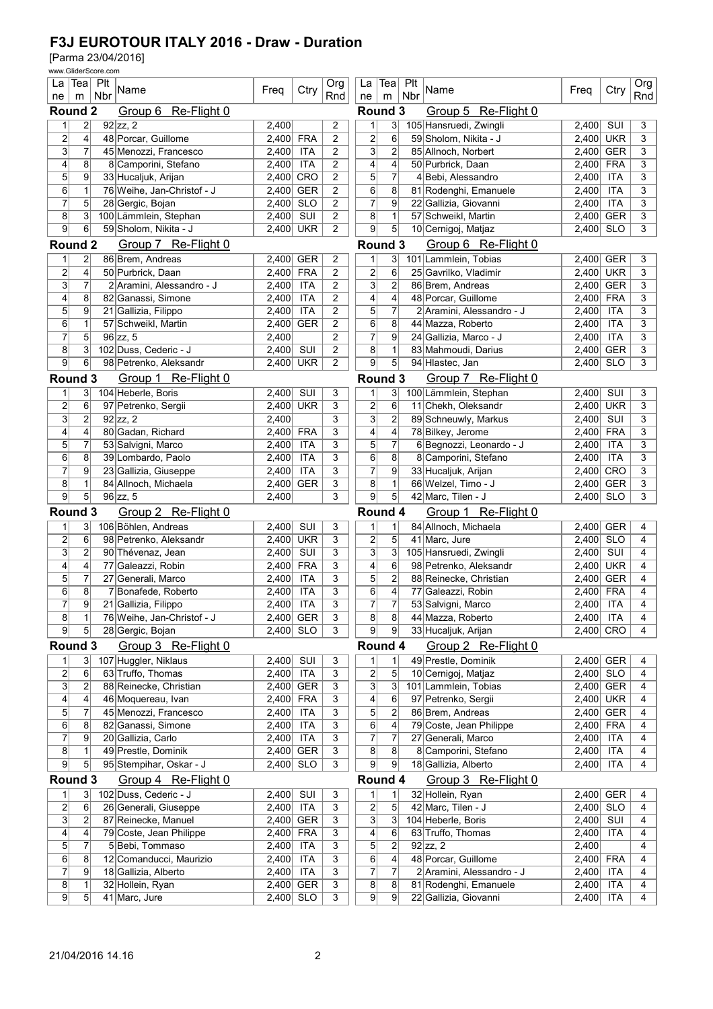|                                           |                | www.GliderScore.com |                            |             |            |                |                         |                         |            |                           |                    |            |            |
|-------------------------------------------|----------------|---------------------|----------------------------|-------------|------------|----------------|-------------------------|-------------------------|------------|---------------------------|--------------------|------------|------------|
| La<br>ne                                  | $Tea$ Plt<br>m | Nbr                 | Name                       | Freg        | Ctry       | Org<br>Rnd     | La<br>ne                | Teal<br>m               | Plt<br>Nbr | Name                      | Freg               | Ctry       | Org<br>Rnd |
| Group 6 Re-Flight 0<br>Round <sub>2</sub> |                |                     |                            |             |            |                | Round 3                 |                         |            | Group 5 Re-Flight 0       |                    |            |            |
| 1                                         | $\overline{2}$ |                     | $92$ zz, 2                 | 2,400       |            | 2              | 1                       | 3                       |            | 105 Hansruedi, Zwingli    | 2,400              | SUI        | 3          |
| $\overline{\mathbf{c}}$                   | 4              |                     | 48 Porcar, Guillome        | 2,400       | <b>FRA</b> | 2              | 2                       | 6                       |            | 59 Sholom, Nikita - J     | 2,400 UKR          |            | 3          |
| $\overline{3}$                            | 7              |                     | 45 Menozzi, Francesco      | 2,400       | <b>ITA</b> | $\overline{2}$ | $\overline{\mathbf{3}}$ | $\overline{c}$          |            | 85 Allnoch, Norbert       | 2,400 GER          |            | 3          |
| 4                                         | 8              |                     | 8 Camporini, Stefano       | 2,400       | <b>ITA</b> | 2              | 4                       | 4                       |            | 50 Purbrick, Daan         | 2,400              | <b>FRA</b> | 3          |
| 5                                         | 9              |                     | 33 Hucaljuk, Arijan        | 2,400       | CRO        | 2              | 5                       | 7                       |            | 4 Bebi, Alessandro        | 2,400              | <b>ITA</b> | 3          |
| 6                                         | 1              |                     | 76 Weihe, Jan-Christof - J | 2.400       | <b>GER</b> | 2              | 6                       | 8                       |            | 81 Rodenghi, Emanuele     | $\overline{2,400}$ | <b>ITA</b> | 3          |
| 7                                         | 5              |                     | 28 Gergic, Bojan           | 2,400       | <b>SLO</b> | 2              | $\overline{7}$          | 9                       |            | 22 Gallizia, Giovanni     | 2,400              | <b>ITA</b> | 3          |
| 8                                         | 3              |                     | 100 Lämmlein, Stephan      | 2,400       | SUI        | $\overline{c}$ | 8                       | $\mathbf{1}$            |            | 57 Schweikl. Martin       | 2,400 GER          |            | 3          |
| $\overline{9}$                            | 6              |                     | 59 Sholom, Nikita - J      | 2.400       | <b>UKR</b> | 2              | 9                       | 5                       |            | 10 Cernigoj, Matjaz       | 2,400 SLO          |            | 3          |
| Round <sub>2</sub>                        |                |                     | Group 7 Re-Flight 0        |             |            |                | Round 3                 |                         |            | Group 6 Re-Flight 0       |                    |            |            |
| 1                                         | 2              |                     | 86 Brem, Andreas           | 2,400       | <b>GER</b> | 2              | 1                       | 3 <sup>2</sup>          |            | 101 Lammlein, Tobias      | 2,400 GER          |            | 3          |
| $\overline{2}$                            | $\overline{4}$ |                     | 50 Purbrick, Daan          | 2,400       | <b>FRA</b> | 2              | 2                       | 6                       |            | 25 Gavrilko, Vladimir     | 2,400 UKR          |            | 3          |
| $\overline{\mathbf{3}}$                   | 7              |                     | 2 Aramini, Alessandro - J  | 2,400       | <b>ITA</b> | 2              | $\overline{3}$          | $\overline{\mathbf{c}}$ |            | 86 Brem, Andreas          | 2,400              | <b>GER</b> | 3          |
| 4                                         | 8              |                     | 82 Ganassi, Simone         | 2,400       | <b>ITA</b> | $\overline{c}$ | 4                       | 4                       |            | 48 Porcar, Guillome       | 2,400              | <b>FRA</b> | 3          |
| 5                                         | 9              |                     | 21 Gallizia, Filippo       | 2,400       | <b>ITA</b> | 2              | 5                       | 7                       |            | 2 Aramini, Alessandro - J | 2,400              | <b>ITA</b> | 3          |
| 6                                         | 1              |                     | 57 Schweikl, Martin        | 2,400       | <b>GER</b> | $\overline{2}$ | 6                       | 8                       |            | 44 Mazza, Roberto         | 2,400              | <b>ITA</b> | 3          |
| 7                                         | 5              |                     | $96$ zz, 5                 | 2.400       |            | 2              | 7                       | 9                       |            | 24 Gallizia, Marco - J    | 2,400              | <b>ITA</b> | 3          |
| 8                                         | 3              |                     | 102 Duss, Cederic - J      | 2,400       | SUI        | 2              | 8                       | 1                       |            | 83 Mahmoudi, Darius       | 2,400              | <b>GER</b> | 3          |
| 9                                         | 6              |                     | 98 Petrenko, Aleksandr     | 2,400       | <b>UKR</b> | 2              | $\overline{9}$          | 5                       |            | 94 Hlastec, Jan           | 2,400 SLO          |            | 3          |
| Round 3                                   |                |                     | Group 1 Re-Flight 0        |             |            |                | Round 3                 |                         |            | Group 7 Re-Flight 0       |                    |            |            |
| 1                                         | 3              |                     | 104 Heberle, Boris         | 2,400       | SUI        | 3              | 1                       | 3                       |            | 100 Lämmlein, Stephan     | 2,400              | SUI        | 3          |
| $\overline{2}$                            | 6              |                     | 97 Petrenko, Sergii        | 2.400       | <b>UKR</b> | 3              | 2                       | 6                       |            | 11 Chekh, Oleksandr       | 2,400 UKR          |            | 3          |
| 3                                         | $\overline{c}$ |                     | $92$ zz, 2                 | 2,400       |            | 3              | 3                       | $\overline{\mathbf{c}}$ |            | 89 Schneuwly, Markus      | 2,400              | SUI        | 3          |
| 4                                         | 4              |                     | 80 Gadan, Richard          | 2,400       | <b>FRA</b> | 3              | 4                       | 4                       |            | 78 Bilkey, Jerome         | 2,400 FRA          |            | 3          |
| 5                                         | 7              |                     | 53 Salvigni, Marco         | 2,400       | <b>ITA</b> | 3              | 5                       | 7                       |            | 6 Begnozzi, Leonardo - J  | 2,400              | <b>ITA</b> | 3          |
| 6                                         | 8              |                     | 39 Lombardo, Paolo         | 2,400       | <b>ITA</b> | 3              | 6                       | 8                       |            | 8 Camporini, Stefano      | 2,400              | <b>ITA</b> | 3          |
| $\overline{7}$                            | 9              |                     | 23 Gallizia, Giuseppe      | 2,400       | <b>ITA</b> | 3              | 7                       | 9                       |            | 33 Hucaljuk, Arijan       | 2,400 CRO          |            | 3          |
| 8                                         | 1              |                     | 84 Allnoch, Michaela       | 2,400       | <b>GER</b> | 3              | 8                       | 1                       |            | 66 Welzel, Timo - J       | 2,400 GER          |            | 3          |
| $\overline{9}$                            | $\overline{5}$ |                     | $96$ zz, 5                 | 2,400       |            | 3              | $\overline{9}$          | 5                       |            | 42 Marc, Tilen - J        | 2,400 SLO          |            | 3          |
| Round 3                                   |                |                     | Group 2 Re-Flight 0        |             |            |                | Round 4                 |                         |            | Group 1 Re-Flight 0       |                    |            |            |
| 1                                         | 3              |                     | 106 Böhlen, Andreas        | 2,400       | SUI        | 3              | 1                       | 1                       |            | 84 Allnoch, Michaela      | 2,400 GER          |            | 4          |
| $\overline{2}$                            | 6              |                     | 98 Petrenko, Aleksandr     | 2,400       | <b>UKR</b> | 3              | 2                       | 5                       |            | 41 Marc, Jure             | 2,400 SLO          |            | 4          |
| $\overline{3}$                            | 2              |                     | 90 Thévenaz, Jean          | 2,400       | SUI        | 3              | 3                       | 3                       |            | 105 Hansruedi, Zwingli    | 2,400              | SUI        | 4          |
| 4                                         | 4              |                     | 77 Galeazzi, Robin         | 2,400       | <b>FRA</b> | 3              | 4                       | 6                       |            | 98 Petrenko, Aleksandr    | 2,400              | <b>UKR</b> | 4          |
| 5                                         | 7              |                     | 27 Generali, Marco         | 2.400       | <b>ITA</b> | 3              | 5                       | $\overline{c}$          |            | 88 Reinecke, Christian    | 2,400              | <b>GER</b> | 4          |
| 6                                         | 8              |                     | 7 Bonafede, Roberto        | 2.400       | <b>ITA</b> | 3              | 6                       | 4                       |            | 77 Galeazzi, Robin        | 2,400 FRA          |            | 4          |
| $\overline{7}$                            | $\overline{9}$ |                     | 21 Gallizia, Filippo       | 2,400       | ITA        | 3              | $\overline{\mathbf{7}}$ | $\overline{7}$          |            | 53 Salvigni, Marco        | $2,400$ ITA        |            | 4          |
| 8                                         | $\mathbf{1}$   |                     | 76 Weihe, Jan-Christof - J |             | 2,400 GER  | 3              | 8                       | 8                       |            | 44 Mazza, Roberto         | 2,400 ITA          |            | 4          |
| 9                                         | 5 <sup>1</sup> |                     | 28 Gergic, Bojan           | 2,400 SLO   |            | 3              | 9                       | $\overline{9}$          |            | 33 Hucaljuk, Arijan       | 2,400 CRO          |            | 4          |
| Round 3                                   |                |                     | Group 3 Re-Flight 0        |             |            |                | Round 4                 |                         |            | Group 2 Re-Flight 0       |                    |            |            |
| $\mathbf{1}$                              | 3              |                     | 107 Huggler, Niklaus       | 2,400       | SUI        | 3              | 1                       | 1                       |            | 49 Prestle, Dominik       | 2,400 GER          |            | 4          |
| $\overline{2}$                            | 6              |                     | 63 Truffo, Thomas          | 2,400       | ITA        | 3              | 2                       | 5                       |            | 10 Cernigoj, Matjaz       | 2,400 SLO          |            | 4          |
| $\overline{3}$                            | $\overline{2}$ |                     | 88 Reinecke, Christian     | 2,400       | <b>GER</b> | 3              | $\overline{3}$          | 3                       |            | 101 Lammlein, Tobias      | 2,400 GER          |            | 4          |
| 4                                         | 4              |                     | 46 Moquereau, Ivan         | 2,400       | <b>FRA</b> | 3              | 4                       | 6                       |            | 97 Petrenko, Sergii       | 2,400 UKR          |            | 4          |
| 5                                         | 7              |                     | 45 Menozzi, Francesco      | 2,400       | ITA        | 3              | 5                       | $\overline{c}$          |            | 86 Brem, Andreas          | 2,400 GER          |            | 4          |
| 6                                         | 8              |                     | 82 Ganassi, Simone         | 2,400       | <b>ITA</b> | 3              | 6                       | 4                       |            | 79 Coste, Jean Philippe   | 2,400 FRA          |            | 4          |
| $\overline{7}$                            | 9              |                     | 20 Gallizia, Carlo         | 2,400       | <b>ITA</b> | 3              | $\overline{7}$          | 7                       |            | 27 Generali, Marco        | 2,400 ITA          |            | 4          |
| 8                                         | 1              |                     | 49 Prestle, Dominik        | 2,400       | <b>GER</b> | 3              | 8                       | 8                       |            | 8 Camporini, Stefano      | 2,400 ITA          |            | 4          |
| $\overline{9}$                            | 5              |                     | 95 Stempihar, Oskar - J    | 2,400       | <b>SLO</b> | 3              | $\overline{9}$          | $\mathsf{g}$            |            | 18 Gallizia, Alberto      | 2,400              | ITA        | 4          |
| Round 3                                   |                |                     | Group 4 Re-Flight 0        |             |            |                | Round 4                 |                         |            | Group 3 Re-Flight 0       |                    |            |            |
| $\mathbf{1}$                              | 3              |                     | 102 Duss, Cederic - J      | 2,400       | SUI        | 3              | $\mathbf{1}$            | 1                       |            | 32 Hollein, Ryan          | 2,400 GER          |            | 4          |
| $\overline{2}$                            | 6              |                     | 26 Generali, Giuseppe      | 2,400       | <b>ITA</b> | 3              | $\overline{2}$          | $\sqrt{5}$              |            | 42 Marc, Tilen - J        | 2,400 SLO          |            | 4          |
| 3                                         | 2              |                     | 87 Reinecke, Manuel        | 2,400       | <b>GER</b> | 3              | $\mathbf{3}$            | 3                       |            | 104 Heberle, Boris        | 2,400 SUI          |            | 4          |
| 4                                         | 4              |                     | 79 Coste, Jean Philippe    | 2,400       | FRA        | 3              | 4                       | 6                       |            | 63 Truffo, Thomas         | 2,400 ITA          |            | 4          |
| 5                                         | $\overline{7}$ |                     | 5 Bebi, Tommaso            | 2,400       | <b>ITA</b> | 3              | $\mathbf{5}$            | $\overline{\mathbf{c}}$ |            | $92$ zz, 2                | 2,400              |            | 4          |
| 6                                         | 8              |                     | 12 Comanducci, Maurizio    | 2,400       | <b>ITA</b> | 3              | 6                       | $\overline{\mathbf{4}}$ |            | 48 Porcar, Guillome       | 2,400 FRA          |            | 4          |
| $\overline{7}$                            | 9              |                     | 18 Gallizia, Alberto       | 2,400       | <b>ITA</b> | 3              | 7                       | 7                       |            | 2 Aramini, Alessandro - J | 2,400 ITA          |            | 4          |
| 8                                         | 1              |                     | 32 Hollein, Ryan           | 2,400       | <b>GER</b> | 3              | 8 <sup>2</sup>          | 8                       |            | 81 Rodenghi, Emanuele     | 2,400              | <b>ITA</b> | 4          |
| 9                                         | 5 <sup>1</sup> |                     | 41 Marc, Jure              | $2,400$ SLO |            | 3              | 9                       | 9                       |            | 22 Gallizia, Giovanni     | 2,400 ITA          |            | 4          |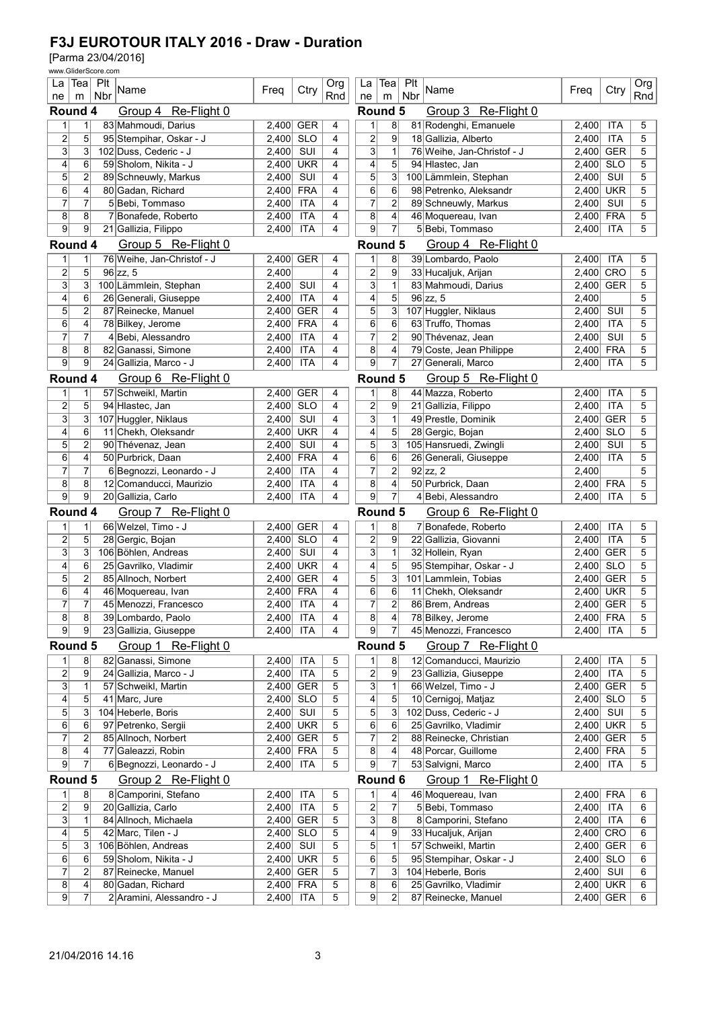|                                |                         | www.GliderScore.com |                            |             |            |            |                         |                 |            |                            |             |            |            |  |
|--------------------------------|-------------------------|---------------------|----------------------------|-------------|------------|------------|-------------------------|-----------------|------------|----------------------------|-------------|------------|------------|--|
| La<br>ne                       | m                       | $ Tea $ Plt<br>Nbr  | Name                       | Freg        | Ctry       | Org<br>Rnd | La<br>ne                | Teal<br>m       | Plt<br>Nbr | Name                       | Freq        | Ctry       | Org<br>Rnd |  |
| Round 4<br>Group 4 Re-Flight 0 |                         |                     |                            |             |            |            |                         | Round 5         |            | Group 3 Re-Flight 0        |             |            |            |  |
| 1                              | 1                       |                     | 83 Mahmoudi, Darius        | 2,400       | <b>GER</b> | 4          | 1                       | 8               |            | 81 Rodenghi, Emanuele      | 2,400       | ITA        | 5          |  |
| $\overline{\mathbf{c}}$        | 5                       |                     | 95 Stempihar, Oskar - J    | 2.400       | <b>SLO</b> | 4          | 2                       | 9               |            | 18 Gallizia, Alberto       | 2,400       | <b>ITA</b> | 5          |  |
| 3                              | 3                       |                     | 102 Duss, Cederic - J      | 2,400       | SUI        | 4          | $\overline{\mathbf{3}}$ | $\mathbf{1}$    |            | 76 Weihe, Jan-Christof - J | 2,400 GER   |            | 5          |  |
| 4                              | 6                       |                     | 59 Sholom, Nikita - J      | 2,400       | <b>UKR</b> | 4          | 4                       | 5               |            | 94 Hlastec, Jan            | 2,400       | <b>SLO</b> | 5          |  |
| 5                              | 2                       |                     | 89 Schneuwly, Markus       | 2,400       | SUI        | 4          | 5                       | 3               |            | 100 Lämmlein, Stephan      | 2,400       | SUI        | 5          |  |
| 6                              | 4                       |                     | 80 Gadan, Richard          | 2,400       | <b>FRA</b> | 4          | 6                       | 6               |            | 98 Petrenko, Aleksandr     | 2,400       | <b>UKR</b> | 5          |  |
| 7                              | 7                       |                     | 5 Bebi, Tommaso            | 2,400       | ITA        | 4          | 7                       | $\overline{c}$  |            | 89 Schneuwly, Markus       | 2,400       | SUI        | 5          |  |
| 8                              | 8                       |                     | 7 Bonafede, Roberto        | 2,400       | <b>ITA</b> | 4          | 8                       | 4               |            | 46 Moquereau, Ivan         | 2.400       | <b>FRA</b> | 5          |  |
| $\overline{9}$                 | $\overline{9}$          |                     | 21 Gallizia, Filippo       | 2,400       | <b>ITA</b> | 4          | $\overline{9}$          | 7               |            | 5 Bebi, Tommaso            | 2,400       | <b>ITA</b> | 5          |  |
| Round 4                        |                         |                     | Group 5 Re-Flight 0        |             |            |            | Round 5                 |                 |            | Group 4 Re-Flight 0        |             |            |            |  |
| 1                              | 1                       |                     | 76 Weihe, Jan-Christof - J | 2,400       | <b>GER</b> | 4          | 1                       | 8               |            | 39 Lombardo, Paolo         | 2,400       | <b>ITA</b> | 5          |  |
| $\overline{2}$                 | 5                       |                     | $96$ zz, 5                 | 2,400       |            | 4          | 2                       | 9               |            | 33 Hucaljuk, Arijan        | 2,400 CRO   |            | 5          |  |
| 3                              | 3                       |                     | 100 Lämmlein, Stephan      | 2,400       | SUI        | 4          | 3                       | 1               |            | 83 Mahmoudi, Darius        | 2,400       | <b>GER</b> | 5          |  |
| 4                              | 6                       |                     | 26 Generali, Giuseppe      | 2,400       | <b>ITA</b> | 4          | 4                       | 5               |            | $96$ zz, 5                 | 2,400       |            | 5          |  |
| 5                              | $\overline{c}$          |                     | 87 Reinecke, Manuel        | 2,400       | <b>GER</b> | 4          | 5                       | 3               |            | 107 Huggler, Niklaus       | 2,400       | SUI        | 5          |  |
| 6                              | 4                       |                     | 78 Bilkey, Jerome          | 2,400       | <b>FRA</b> | 4          | 6                       | 6               |            | 63 Truffo, Thomas          | 2,400       | <b>ITA</b> | 5          |  |
| $\overline{7}$                 | 7                       |                     | 4 Bebi, Alessandro         | 2,400       | <b>ITA</b> | 4          | 7                       | $\overline{2}$  |            | 90 Thévenaz, Jean          | 2,400       | SUI        | 5          |  |
| 8                              | 8                       |                     | 82 Ganassi, Simone         | 2,400       | <b>ITA</b> | 4          | 8                       | 4               |            | 79 Coste, Jean Philippe    | 2,400       | <b>FRA</b> | 5          |  |
| 9                              | 9                       |                     | 24 Gallizia, Marco - J     | 2,400       | <b>ITA</b> | 4          | $\overline{9}$          | 7               |            | 27 Generali, Marco         | 2,400       | <b>ITA</b> | 5          |  |
| Round 4                        |                         |                     | Group 6 Re-Flight 0        |             |            |            | Round 5                 |                 |            | Group 5 Re-Flight 0        |             |            |            |  |
| 1                              | $\mathbf{1}$            |                     | 57 Schweikl, Martin        | 2,400       | <b>GER</b> | 4          | 1                       | 8               |            | 44 Mazza, Roberto          | 2.400       | <b>ITA</b> | 5          |  |
| $\overline{\mathbf{c}}$        | 5                       |                     | 94 Hlastec, Jan            | 2,400       | <b>SLO</b> | 4          | 2                       | 9               |            | 21 Gallizia, Filippo       | 2,400       | <b>ITA</b> | 5          |  |
| 3                              | 3                       |                     | 107 Huggler, Niklaus       | 2,400       | SUI        | 4          | 3                       | $\mathbf{1}$    |            | 49 Prestle, Dominik        | 2,400 GER   |            | 5          |  |
| 4                              | 6                       |                     | 11 Chekh, Oleksandr        | 2,400       | <b>UKR</b> | 4          | 4                       | 5               |            | 28 Gergic, Bojan           | 2,400       | <b>SLO</b> | 5          |  |
| 5                              | $\overline{2}$          |                     | 90 Thévenaz, Jean          | 2,400       | SUI        | 4          | 5                       | 3               |            | 105 Hansruedi, Zwingli     | 2,400       | SUI        | 5          |  |
| 6                              | 4                       |                     | 50 Purbrick, Daan          | 2,400       | <b>FRA</b> | 4          | 6                       | 6               |            | 26 Generali, Giuseppe      | 2,400       | <b>ITA</b> | 5          |  |
| $\overline{7}$                 | 7                       |                     | 6 Begnozzi, Leonardo - J   | 2,400       | <b>ITA</b> | 4          | 7                       | $\overline{2}$  |            | $92$ zz, 2                 | 2,400       |            | 5          |  |
| 8                              | 8                       |                     | 12 Comanducci, Maurizio    | 2,400       | <b>ITA</b> | 4          | 8                       | 4               |            | 50 Purbrick, Daan          | 2,400       | <b>FRA</b> | 5          |  |
| 9                              | $\overline{9}$          |                     | 20 Gallizia, Carlo         | 2,400       | <b>ITA</b> | 4          | $\overline{9}$          | $\overline{7}$  |            | 4 Bebi, Alessandro         | 2,400       | <b>ITA</b> | 5          |  |
| Round 4                        |                         |                     | Group 7 Re-Flight 0        |             |            |            | Round 5                 |                 |            | Group 6 Re-Flight 0        |             |            |            |  |
| 1                              | 1                       |                     | 66 Welzel, Timo - J        | 2,400       | <b>GER</b> | 4          |                         | 8               |            | 7 Bonafede, Roberto        | 2,400       | ITA        | 5          |  |
| $\overline{\mathbf{c}}$        | 5                       |                     | 28 Gergic, Bojan           | 2.400       | <b>SLO</b> | 4          | 2                       | 9               |            | 22 Gallizia, Giovanni      | 2,400       | <b>ITA</b> | 5          |  |
| 3                              | 3                       |                     | 106 Böhlen, Andreas        | 2,400       | SUI        | 4          | 3                       | $\mathbf{1}$    |            | 32 Hollein, Ryan           | 2,400 GER   |            | 5          |  |
| 4                              | 6                       |                     | 25 Gavrilko, Vladimir      | 2,400       | <b>UKR</b> | 4          | 4                       | 5               |            | 95 Stempihar, Oskar - J    | 2,400       | <b>SLO</b> | 5          |  |
| 5                              | 2                       |                     | 85 Allnoch, Norbert        | 2,400       | <b>GER</b> | 4          | 5                       | 3               |            | 101 Lammlein, Tobias       | 2,400       | <b>GER</b> | 5          |  |
| 6                              | 4                       |                     | 46 Moquereau, Ivan         | 2,400       | <b>FRA</b> | 4          | 6                       | 6               |            | 11 Chekh, Oleksandr        | 2,400 UKR   |            | 5          |  |
| $\overline{7}$                 | $\overline{7}$          |                     | 45 Menozzi, Francesco      | $2,400$ ITA |            | 4          | $\overline{\mathbf{7}}$ | 2               |            | 86 Brem, Andreas           | $2,400$ GER |            | 5          |  |
| 8                              | 8                       |                     | 39 Lombardo, Paolo         | 2,400 ITA   |            | 4          | 8                       | $\vert$         |            | 78 Bilkey, Jerome          | 2,400 FRA   |            | 5          |  |
| 9                              | 9                       |                     | 23 Gallizia, Giuseppe      | 2,400       | <b>ITA</b> | 4          | 9                       | 7               |            | 45 Menozzi, Francesco      | 2,400 ITA   |            | 5          |  |
| Round 5                        |                         |                     | Group 1 Re-Flight 0        |             |            |            | Round 5                 |                 |            | Group 7 Re-Flight 0        |             |            |            |  |
| 1                              | 8                       |                     | 82 Ganassi, Simone         | 2,400       | <b>ITA</b> | 5          | 1                       | 8               |            | 12 Comanducci, Maurizio    | 2,400       | <b>ITA</b> | 5          |  |
| $\overline{2}$                 | 9                       |                     | 24 Gallizia, Marco - J     | 2,400       | <b>ITA</b> | 5          | 2                       | 9               |            | 23 Gallizia, Giuseppe      | 2,400 ITA   |            | 5          |  |
| $\overline{3}$                 | $\mathbf{1}$            |                     | 57 Schweikl, Martin        | 2,400       | <b>GER</b> | 5          | $\mathbf{3}$            | $\mathbf{1}$    |            | 66 Welzel, Timo - J        | 2,400 GER   |            | 5          |  |
| $\overline{\mathbf{4}}$        | 5                       |                     | 41 Marc, Jure              | 2,400       | <b>SLO</b> | 5          | 4                       | 5               |            | 10 Cernigoj, Matjaz        | 2,400 SLO   |            | 5          |  |
| 5                              | 3                       |                     | 104 Heberle, Boris         | 2,400       | SUI        | 5          | 5                       | 3               |            | 102 Duss, Cederic - J      | $2,400$ SUI |            | 5          |  |
| $6\phantom{.}$                 | 6                       |                     | 97 Petrenko, Sergii        | 2,400       | <b>UKR</b> | 5          | 6                       | 6               |            | 25 Gavrilko, Vladimir      | 2,400 UKR   |            | 5          |  |
| $\overline{7}$                 | 2                       |                     | 85 Allnoch, Norbert        | 2,400       | <b>GER</b> | 5          | 7                       | $\overline{2}$  |            | 88 Reinecke, Christian     | 2,400 GER   |            | 5          |  |
| 8                              | 4                       |                     | 77 Galeazzi, Robin         | 2,400       | <b>FRA</b> | 5          | 8                       | 4               |            | 48 Porcar, Guillome        | 2,400 FRA   |            | 5          |  |
| 9                              | 7                       |                     | 6 Begnozzi, Leonardo - J   | 2,400       | <b>ITA</b> | 5          | $\overline{9}$          | 7               |            | 53 Salvigni, Marco         | 2,400       | <b>ITA</b> | 5          |  |
| Round 5                        |                         |                     | Group 2 Re-Flight 0        |             |            |            | Round 6                 |                 |            | Group 1 Re-Flight 0        |             |            |            |  |
| $\mathbf{1}$                   | 8 <sup>2</sup>          |                     | 8 Camporini, Stefano       | 2,400       | <b>ITA</b> | 5          | 1                       | $\vert 4 \vert$ |            | 46 Moquereau, Ivan         | 2,400 FRA   |            | 6          |  |
| $\overline{2}$                 | 9                       |                     | 20 Gallizia, Carlo         | 2,400       | <b>ITA</b> | 5          | $\mathbf{2}$            | 7               |            | 5 Bebi, Tommaso            | 2,400 ITA   |            | 6          |  |
| $\mathbf{3}$                   | $\mathbf{1}$            |                     | 84 Allnoch, Michaela       | 2,400       | <b>GER</b> | 5          | $\mathbf{3}$            | 8               |            | 8 Camporini, Stefano       | 2,400 ITA   |            | 6          |  |
| $\overline{\mathbf{r}}$        | 5                       |                     | 42 Marc, Tilen - J         | 2,400       | <b>SLO</b> | 5          | 4                       | 9               |            | 33 Hucaljuk, Arijan        | 2,400 CRO   |            | 6          |  |
| $\sqrt{5}$                     | 3                       |                     | 106 Böhlen, Andreas        | 2,400       | SUI        | 5          | 5                       | $\mathbf{1}$    |            | 57 Schweikl, Martin        | 2,400 GER   |            | 6          |  |
| $\overline{6}$                 | 6                       |                     | 59 Sholom, Nikita - J      | 2,400       | <b>UKR</b> | 5          | 6                       | 5               |            | 95 Stempihar, Oskar - J    | 2,400 SLO   |            | 6          |  |
| $\overline{7}$                 | 2                       |                     | 87 Reinecke, Manuel        | 2,400       | <b>GER</b> | 5          | 7                       | 3               |            | 104 Heberle, Boris         | $2,400$ SUI |            | 6          |  |
| $\bf 8$                        | $\overline{\mathbf{r}}$ |                     | 80 Gadan, Richard          | 2,400       | <b>FRA</b> | 5          | 8                       | 6               |            | 25 Gavrilko, Vladimir      | 2,400 UKR   |            | 6          |  |
| $\overline{9}$                 | $\overline{7}$          |                     | 2 Aramini, Alessandro - J  | 2,400       | <b>ITA</b> | 5          | 9                       | $\overline{2}$  |            | 87 Reinecke, Manuel        | $2,400$ GER |            | 6          |  |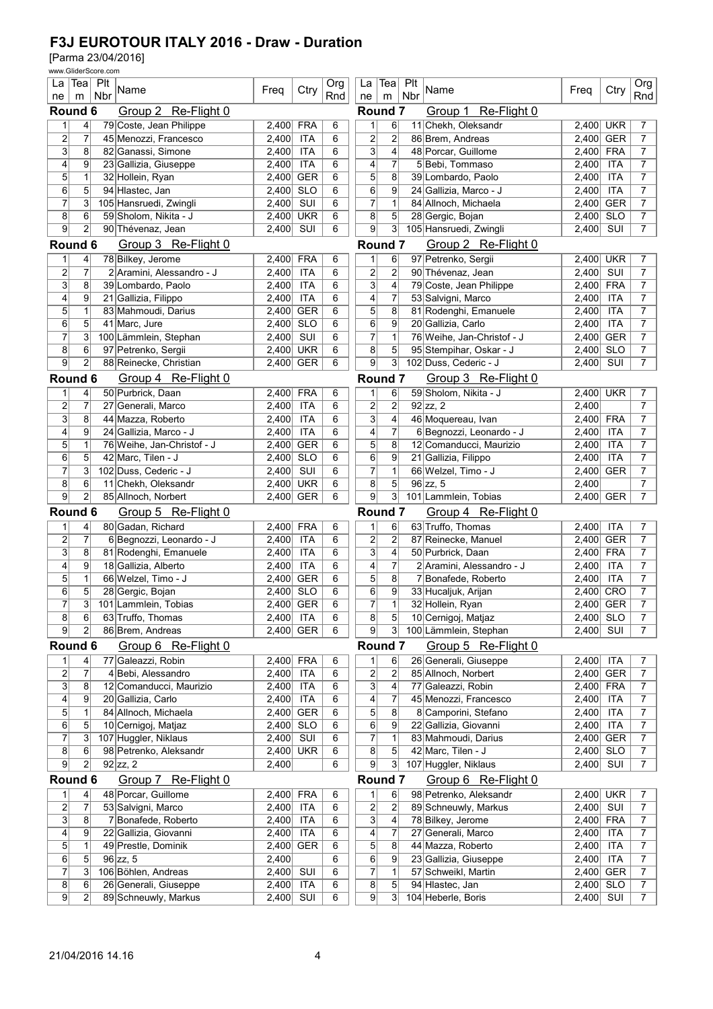| www.GliderScore.com                   |                         |                                                   |                |                          |            |                                           |                                                                                  |              |                                           |                            |            |                                  |  |
|---------------------------------------|-------------------------|---------------------------------------------------|----------------|--------------------------|------------|-------------------------------------------|----------------------------------------------------------------------------------|--------------|-------------------------------------------|----------------------------|------------|----------------------------------|--|
| La                                    | Tea  Plt<br>Nbr         | Name                                              | Freg           | Ctry                     | Org<br>Rnd | La<br>ne                                  | Tea<br>m                                                                         | ∣ Plt<br>Nbr | Name                                      | Freg                       | Ctry       | Org<br>Rnd                       |  |
| ne<br>m<br>Round 6                    |                         | Group 2 Re-Flight 0                               |                |                          |            | Round 7                                   |                                                                                  |              | Group 1<br>Re-Flight 0                    |                            |            |                                  |  |
|                                       |                         |                                                   |                |                          |            |                                           |                                                                                  |              |                                           |                            |            |                                  |  |
| 1<br>$\overline{2}$<br>$\overline{7}$ | 4                       | 79 Coste, Jean Philippe                           | 2,400          | <b>FRA</b><br><b>ITA</b> | 6          | 1                                         | 6                                                                                |              | 11 Chekh, Oleksandr                       | 2,400 UKR<br>2,400 GER     |            | 7<br>$\overline{7}$              |  |
| 3<br>8                                |                         | 45 Menozzi, Francesco<br>82 Ganassi, Simone       | 2,400<br>2,400 | <b>ITA</b>               | 6<br>6     | $\overline{\mathbf{c}}$<br>$\overline{3}$ | $\overline{2}$<br>4                                                              |              | 86 Brem, Andreas<br>48 Porcar, Guillome   | 2,400 FRA                  |            | $\overline{7}$                   |  |
| 4<br>9                                |                         | 23 Gallizia, Giuseppe                             | 2,400          | <b>ITA</b>               | 6          | 4                                         | 7                                                                                |              | 5 Bebi, Tommaso                           | 2,400                      | <b>ITA</b> | 7                                |  |
| 5                                     | 1                       | 32 Hollein, Ryan                                  | 2,400          | <b>GER</b>               | 6          | 5                                         | 8                                                                                |              | 39 Lombardo, Paolo                        | 2,400                      | <b>ITA</b> | $\overline{7}$                   |  |
| 6                                     | 5                       | 94 Hlastec, Jan                                   | 2,400          | <b>SLO</b>               | 6          | 6                                         | 9                                                                                |              | 24 Gallizia, Marco - J                    | 2,400                      | <b>ITA</b> | 7                                |  |
| 7                                     | 3                       | 105 Hansruedi, Zwingli                            | 2,400          | SUI                      | 6          | 7                                         | 1                                                                                |              | 84 Allnoch, Michaela                      | 2,400 GER                  |            | $\overline{7}$                   |  |
| 8                                     | 6                       | 59 Sholom, Nikita - J                             | 2,400          | <b>UKR</b>               | 6          | 8                                         | 5                                                                                |              | 28 Gergic, Bojan                          | 2.400                      | <b>SLO</b> | $\overline{7}$                   |  |
| $\overline{9}$                        | $\overline{2}$          | 90 Thévenaz, Jean                                 | 2,400          | SUI                      | 6          | 9                                         | 3                                                                                |              | 105 Hansruedi, Zwingli                    | 2.400                      | SUI        | $\overline{7}$                   |  |
| Round 6                               |                         | Group 3 Re-Flight 0                               |                |                          |            | <b>Round 7</b>                            |                                                                                  |              | Group 2 Re-Flight 0                       |                            |            |                                  |  |
| 1                                     | $\overline{\mathbf{r}}$ | 78 Bilkey, Jerome                                 | 2,400          | <b>FRA</b>               | 6          | 1                                         | 6                                                                                |              | 97 Petrenko, Sergii                       | 2,400                      | <b>UKR</b> | 7                                |  |
| $\overline{2}$                        | 7                       | 2 Aramini, Alessandro - J                         | 2,400          | <b>ITA</b>               | 6          | $\overline{\mathbf{c}}$                   | $\overline{c}$                                                                   |              | 90 Thévenaz, Jean                         | 2,400                      | SUI        | 7                                |  |
| 3                                     | 8                       | 39 Lombardo, Paolo                                | 2,400          | <b>ITA</b>               | 6          | 3                                         | 4                                                                                |              | 79 Coste, Jean Philippe                   | 2,400                      | <b>FRA</b> | $\overline{7}$                   |  |
| 4                                     | 9                       | 21 Gallizia, Filippo                              | 2,400          | <b>ITA</b>               | 6          | 4                                         | $\overline{7}$                                                                   |              | 53 Salvigni, Marco                        | 2,400                      | <b>ITA</b> | $\overline{7}$                   |  |
| 5                                     | 1                       | 83 Mahmoudi, Darius                               | 2,400          | <b>GER</b>               | 6          | 5                                         | 8                                                                                |              | 81 Rodenghi, Emanuele                     | 2,400                      | <b>ITA</b> | $\overline{7}$                   |  |
| 6                                     | 5                       | 41 Marc, Jure                                     | 2,400          | <b>SLO</b>               | 6          | 6                                         | 9                                                                                |              | 20 Gallizia, Carlo                        | 2,400                      | <b>ITA</b> | $\overline{7}$                   |  |
| 7                                     | 3                       | 100 Lämmlein, Stephan                             | 2,400          | SUI                      | 6          | 7                                         | 1                                                                                |              | 76 Weihe, Jan-Christof - J                | 2,400                      | GER        | 7                                |  |
| 8<br>6                                |                         | 97 Petrenko, Sergii                               | 2,400          | <b>UKR</b>               | 6          | 8                                         | 5                                                                                |              | 95 Stempihar, Oskar - J                   | 2,400                      | <b>SLO</b> | $\overline{7}$                   |  |
| 9                                     | $\overline{2}$          | 88 Reinecke, Christian                            | 2,400          | <b>GER</b>               | 6          |                                           | 3                                                                                |              |                                           |                            | SUI        | $\overline{7}$                   |  |
| Round 6                               |                         | Group 4 Re-Flight 0                               |                |                          |            |                                           | 9<br>102 Duss, Cederic - J<br>2,400<br>Round <sub>7</sub><br>Group 3 Re-Flight 0 |              |                                           |                            |            |                                  |  |
| 1                                     | 4                       | 50 Purbrick, Daan                                 | 2,400          | <b>FRA</b>               | 6          | 1                                         | 6                                                                                |              | 59 Sholom, Nikita - J                     | 2,400                      | <b>UKR</b> | 7                                |  |
| $\overline{2}$                        | 7                       | 27 Generali, Marco                                | 2,400          | <b>ITA</b>               | 6          | 2                                         | $\overline{c}$                                                                   |              | $92$ zz, 2                                | 2,400                      |            | $\overline{7}$                   |  |
| 3                                     | 8                       | 44 Mazza, Roberto                                 | 2,400          | <b>ITA</b>               | 6          | 3                                         | 4                                                                                |              | 46 Moquereau, Ivan                        | 2,400                      | <b>FRA</b> | $\overline{7}$                   |  |
| 4                                     | 9                       | 24 Gallizia, Marco - J                            | 2,400          | <b>ITA</b>               | 6          | 4                                         | 7                                                                                |              | 6 Begnozzi, Leonardo - J                  | 2,400                      | <b>ITA</b> | $\overline{7}$                   |  |
| 5                                     | 1                       | 76 Weihe, Jan-Christof - J                        | 2,400          | <b>GER</b>               | 6          | 5                                         | 8                                                                                |              | 12 Comanducci, Maurizio                   | 2,400                      | <b>ITA</b> | 7                                |  |
| 6                                     | 5                       | 42 Marc, Tilen - J                                | 2,400          | <b>SLO</b>               | 6          | 6                                         | 9                                                                                |              | 21 Gallizia, Filippo                      | 2,400                      | <b>ITA</b> | $\overline{7}$                   |  |
| $\overline{7}$                        | 3                       | 102 Duss, Cederic - J                             | 2,400          | SUI                      | 6          | 7                                         | 1                                                                                |              | 66 Welzel, Timo - J                       | 2,400                      | <b>GER</b> | $\overline{7}$                   |  |
| 8                                     | 6                       | 11 Chekh, Oleksandr                               | 2,400          | <b>UKR</b>               | 6          | 8                                         | 5                                                                                |              | $96$ zz, 5                                | 2,400                      |            | $\overline{7}$                   |  |
| 9                                     | $\overline{2}$          | 85 Allnoch, Norbert                               | 2,400          | <b>GER</b>               | 6          | $\overline{9}$                            | 3                                                                                |              | 101 Lammlein, Tobias                      | 2,400 GER                  |            | $\overline{7}$                   |  |
| Round 6                               |                         | Group 5 Re-Flight 0                               |                |                          |            | Round <sub>7</sub>                        |                                                                                  |              | Group 4 Re-Flight 0                       |                            |            |                                  |  |
|                                       |                         |                                                   |                |                          |            |                                           |                                                                                  |              |                                           |                            |            |                                  |  |
| 1<br>$\overline{2}$                   | $\overline{4}$<br>7     | 80 Gadan, Richard                                 | 2,400<br>2,400 | <b>FRA</b><br><b>ITA</b> | 6<br>6     | 1<br>2                                    | 6<br>$\overline{\mathbf{c}}$                                                     |              | 63 Truffo, Thomas<br>87 Reinecke, Manuel  | 2,400<br>2,400 GER         | <b>ITA</b> | $\overline{7}$<br>$\overline{7}$ |  |
| 3                                     | 8                       | 6 Begnozzi, Leonardo - J<br>81 Rodenghi, Emanuele | 2,400          | ITA                      | 6          | 3                                         | 4                                                                                |              | 50 Purbrick, Daan                         | 2,400 FRA                  |            | 7                                |  |
| 4                                     | 9                       | 18 Gallizia, Alberto                              | 2,400          | <b>ITA</b>               | 6          | 4                                         | $\overline{7}$                                                                   |              | 2 Aramini, Alessandro - J                 | 2,400                      | <b>ITA</b> | $\overline{7}$                   |  |
| 5<br>$\mathbf{1}$                     |                         | 66 Welzel, Timo - J                               | 2,400          | <b>GER</b>               | 6          | 5                                         | 8                                                                                |              | 7 Bonafede, Roberto                       | 2,400                      | <b>ITA</b> | $\overline{7}$                   |  |
| 6                                     | 5                       | 28 Gergic, Bojan                                  | 2,400          | <b>SLO</b>               | 6          | 6                                         | 9                                                                                |              | 33 Hucaljuk, Arijan                       | 2,400 CRO                  |            | $\overline{7}$                   |  |
| $\overline{7}$                        | $\overline{3}$          | 101 Lammlein, Tobias                              | $2,400$ GER    |                          | 6          | 7                                         | $\mathbf{1}$                                                                     |              | 32 Hollein, Ryan                          | $2,400$ GER                |            | $\overline{7}$                   |  |
| 8                                     | 6                       | 63 Truffo, Thomas                                 | 2,400 ITA      |                          | 6          | 8                                         | 5                                                                                |              | 10 Cernigoj, Matjaz                       | 2,400 SLO                  |            | 7                                |  |
| 9                                     | $\overline{2}$          | 86 Brem, Andreas                                  | $2,400$ GER    |                          | 6          | $\overline{9}$                            | 3                                                                                |              | 100 Lämmlein, Stephan                     | 2,400 SUI                  |            | $\overline{7}$                   |  |
| Round 6                               |                         | Group 6 Re-Flight 0                               |                |                          |            | Round <sub>7</sub>                        |                                                                                  |              | Group 5 Re-Flight 0                       |                            |            |                                  |  |
|                                       |                         |                                                   |                |                          |            |                                           |                                                                                  |              |                                           |                            |            |                                  |  |
| $\mathbf{1}$<br>$\overline{2}$        | $\vert 4 \vert$<br>7    | 77 Galeazzi, Robin                                | 2,400 FRA      |                          | 6          | 1                                         | 6                                                                                |              | 26 Generali, Giuseppe                     | 2,400<br>$2,400$ GER       | ITA        | 7<br>$\overline{7}$              |  |
| $\overline{3}$                        |                         | 4 Bebi, Alessandro<br>12 Comanducci, Maurizio     | 2,400<br>2,400 | ITA<br>ITA               | 6<br>6     | $\overline{2}$<br>3                       | $\overline{\mathbf{c}}$                                                          |              | 85 Allnoch, Norbert<br>77 Galeazzi, Robin | 2,400 FRA                  |            | $\overline{7}$                   |  |
| 4                                     | 8<br>9                  | 20 Gallizia, Carlo                                | 2,400          | <b>ITA</b>               | 6          | 4                                         | 4<br>7                                                                           |              | 45 Menozzi, Francesco                     | 2,400                      | ITA        | $\overline{7}$                   |  |
| 5<br>$\mathbf{1}$                     |                         | 84 Allnoch, Michaela                              | 2,400          | GER                      | 6          | 5                                         | 8                                                                                |              | 8 Camporini, Stefano                      | $2,400$ ITA                |            | $\overline{7}$                   |  |
| $6\phantom{.}$                        | 5                       | 10 Cernigoj, Matjaz                               | 2,400          | <b>SLO</b>               | 6          | 6                                         | 9                                                                                |              | 22 Gallizia, Giovanni                     | 2,400                      | ITA        | 7                                |  |
| $\overline{7}$                        | 3                       | 107 Huggler, Niklaus                              | 2,400          | SUI                      | 6          | 7                                         | 1                                                                                |              | 83 Mahmoudi, Darius                       | 2,400 GER                  |            | 7                                |  |
| 8                                     | 6                       | 98 Petrenko, Aleksandr                            | 2,400          | <b>UKR</b>               | 6          | 8                                         | 5                                                                                |              | 42 Marc, Tilen - J                        | 2,400 SLO                  |            | $\overline{7}$                   |  |
| $\boldsymbol{9}$                      | $\overline{\mathbf{c}}$ | $92$ zz, 2                                        | 2,400          |                          | 6          | 9                                         | 3                                                                                |              | 107 Huggler, Niklaus                      | $2,400$ SUI                |            | $\overline{7}$                   |  |
|                                       |                         |                                                   |                |                          |            |                                           |                                                                                  |              |                                           |                            |            |                                  |  |
| Round 6                               |                         | Group 7 Re-Flight 0                               |                |                          |            | Round <sub>7</sub>                        |                                                                                  |              | Group 6 Re-Flight 0                       |                            |            |                                  |  |
| $\mathbf{1}$                          | $\vert 4 \vert$         | 48 Porcar, Guillome                               | 2,400          | <b>FRA</b>               | 6          | 1                                         | $6 \mid$                                                                         |              | 98 Petrenko, Aleksandr                    | 2,400 UKR                  |            | 7                                |  |
| $\overline{\mathbf{c}}$               | 7                       | 53 Salvigni, Marco                                | 2,400          | ITA                      | 6          | $\overline{\mathbf{c}}$                   | 2                                                                                |              | 89 Schneuwly, Markus                      | $2,400$ SUI                |            | $\overline{7}$                   |  |
| 3                                     | 8                       | 7 Bonafede, Roberto                               | 2,400          | <b>ITA</b>               | 6          | 3                                         | 4                                                                                |              | 78 Bilkey, Jerome                         | 2,400 FRA                  |            | $\overline{7}$                   |  |
| 4                                     | 9                       | 22 Gallizia, Giovanni                             | 2,400          | <b>ITA</b>               | 6          | 4                                         | 7                                                                                |              | 27 Generali, Marco                        | 2,400                      | ITA        | 7                                |  |
| 5                                     | 1                       | 49 Prestle, Dominik                               | 2,400          | <b>GER</b>               | 6          | 5                                         | 8                                                                                |              | 44 Mazza, Roberto                         | 2,400                      | <b>ITA</b> | $\overline{7}$                   |  |
| 6                                     | 5                       | $96$ zz, 5                                        | 2,400          |                          | 6          | 6                                         | 9                                                                                |              | 23 Gallizia, Giuseppe                     | 2,400 ITA                  |            | $\overline{7}$                   |  |
| $\overline{7}$                        | 3                       | 106 Böhlen, Andreas                               | 2,400          | SUI                      | 6          | 7                                         | 1                                                                                |              | 57 Schweikl, Martin                       | 2,400 GER                  |            | $\overline{7}$                   |  |
| 8<br> 9                               | 6<br>$\overline{2}$     | 26 Generali, Giuseppe                             | 2,400<br>2,400 | <b>ITA</b><br>SUI        | 6<br>6     | 8<br>$\mathsf{g}$                         | 5<br>3                                                                           |              | 94 Hlastec, Jan<br>104 Heberle, Boris     | $2,400$ SLO<br>$2,400$ SUI |            | $\overline{7}$<br>$\overline{7}$ |  |
|                                       |                         | 89 Schneuwly, Markus                              |                |                          |            |                                           |                                                                                  |              |                                           |                            |            |                                  |  |